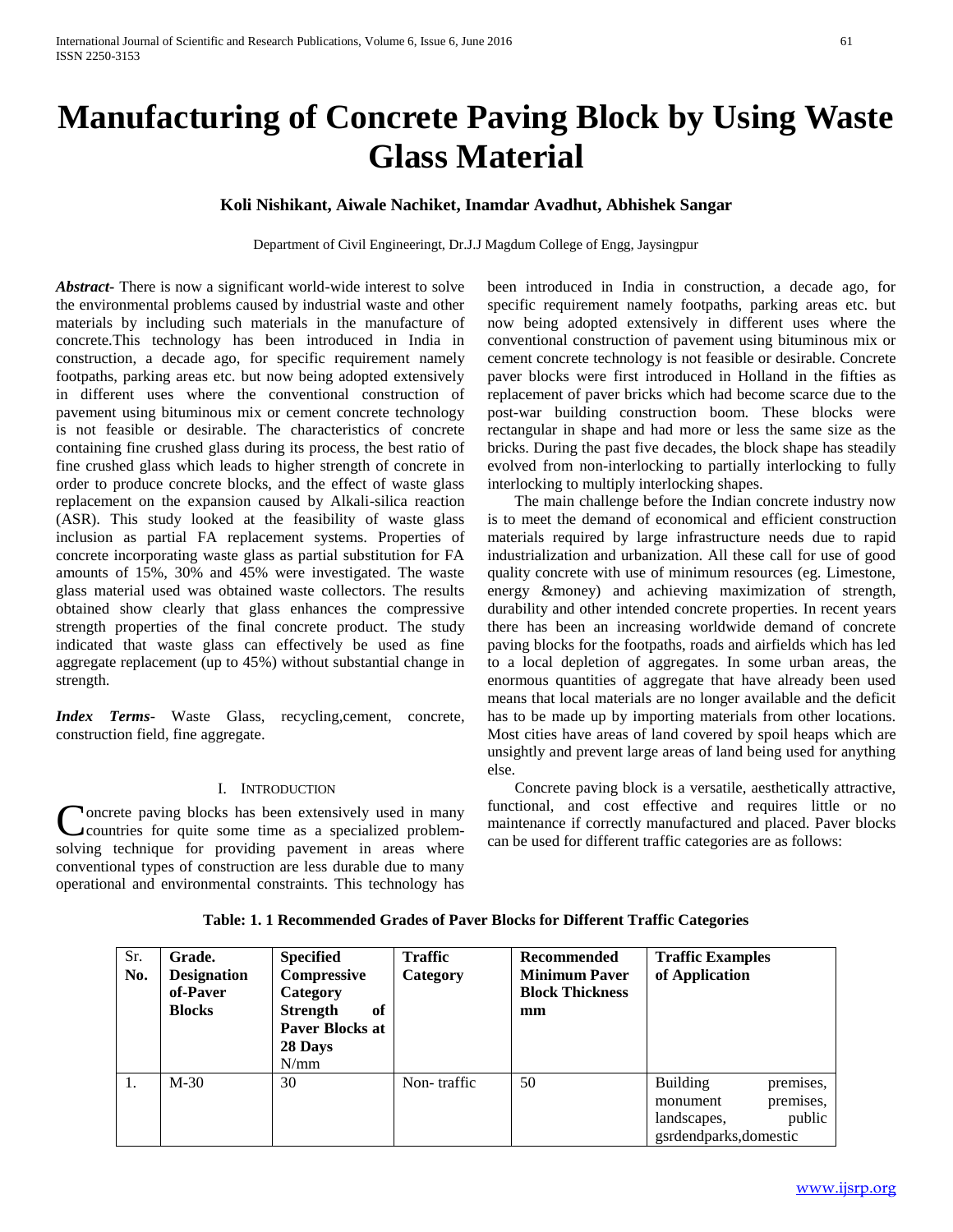# **Manufacturing of Concrete Paving Block by Using Waste Glass Material**

# **Koli Nishikant, Aiwale Nachiket, Inamdar Avadhut, Abhishek Sangar**

Department of Civil Engineeringt, Dr.J.J Magdum College of Engg, Jaysingpur

*Abstract***-** There is now a significant world-wide interest to solve the environmental problems caused by industrial waste and other materials by including such materials in the manufacture of concrete.This technology has been introduced in India in construction, a decade ago, for specific requirement namely footpaths, parking areas etc. but now being adopted extensively in different uses where the conventional construction of pavement using bituminous mix or cement concrete technology is not feasible or desirable. The characteristics of concrete containing fine crushed glass during its process, the best ratio of fine crushed glass which leads to higher strength of concrete in order to produce concrete blocks, and the effect of waste glass replacement on the expansion caused by Alkali-silica reaction (ASR). This study looked at the feasibility of waste glass inclusion as partial FA replacement systems. Properties of concrete incorporating waste glass as partial substitution for FA amounts of 15%, 30% and 45% were investigated. The waste glass material used was obtained waste collectors. The results obtained show clearly that glass enhances the compressive strength properties of the final concrete product. The study indicated that waste glass can effectively be used as fine aggregate replacement (up to 45%) without substantial change in strength.

*Index Terms*- Waste Glass, recycling,cement, concrete, construction field, fine aggregate.

#### I. INTRODUCTION

**Noncrete paving blocks has been extensively used in many** countries for quite some time as a specialized problem-Concrete paving blocks has been extensively used in many<br>countries for quite some time as a specialized problem-<br>solving technique for providing pavement in areas where conventional types of construction are less durable due to many operational and environmental constraints. This technology has

been introduced in India in construction, a decade ago, for specific requirement namely footpaths, parking areas etc. but now being adopted extensively in different uses where the conventional construction of pavement using bituminous mix or cement concrete technology is not feasible or desirable. Concrete paver blocks were first introduced in Holland in the fifties as replacement of paver bricks which had become scarce due to the post-war building construction boom. These blocks were rectangular in shape and had more or less the same size as the bricks. During the past five decades, the block shape has steadily evolved from non-interlocking to partially interlocking to fully interlocking to multiply interlocking shapes.

 The main challenge before the Indian concrete industry now is to meet the demand of economical and efficient construction materials required by large infrastructure needs due to rapid industrialization and urbanization. All these call for use of good quality concrete with use of minimum resources (eg. Limestone, energy &money) and achieving maximization of strength, durability and other intended concrete properties. In recent years there has been an increasing worldwide demand of concrete paving blocks for the footpaths, roads and airfields which has led to a local depletion of aggregates. In some urban areas, the enormous quantities of aggregate that have already been used means that local materials are no longer available and the deficit has to be made up by importing materials from other locations. Most cities have areas of land covered by spoil heaps which are unsightly and prevent large areas of land being used for anything else.

 Concrete paving block is a versatile, aesthetically attractive, functional, and cost effective and requires little or no maintenance if correctly manufactured and placed. Paver blocks can be used for different traffic categories are as follows:

| Sr.<br>No. | Grade.<br><b>Designation</b><br>of-Paver<br><b>Blocks</b> | <b>Specified</b><br>Compressive<br>Category<br><b>Strength</b><br>of<br><b>Paver Blocks at</b><br>28 Days<br>N/mm | <b>Traffic</b><br>Category | Recommended<br><b>Minimum Paver</b><br><b>Block Thickness</b><br>mm | <b>Traffic Examples</b><br>of Application                            |                                  |
|------------|-----------------------------------------------------------|-------------------------------------------------------------------------------------------------------------------|----------------------------|---------------------------------------------------------------------|----------------------------------------------------------------------|----------------------------------|
| 1.         | $M-30$                                                    | 30                                                                                                                | Non-traffic                | 50                                                                  | <b>Building</b><br>monument<br>landscapes,<br>gsrdendparks, domestic | premises,<br>premises,<br>public |

**Table: 1. 1 Recommended Grades of Paver Blocks for Different Traffic Categories**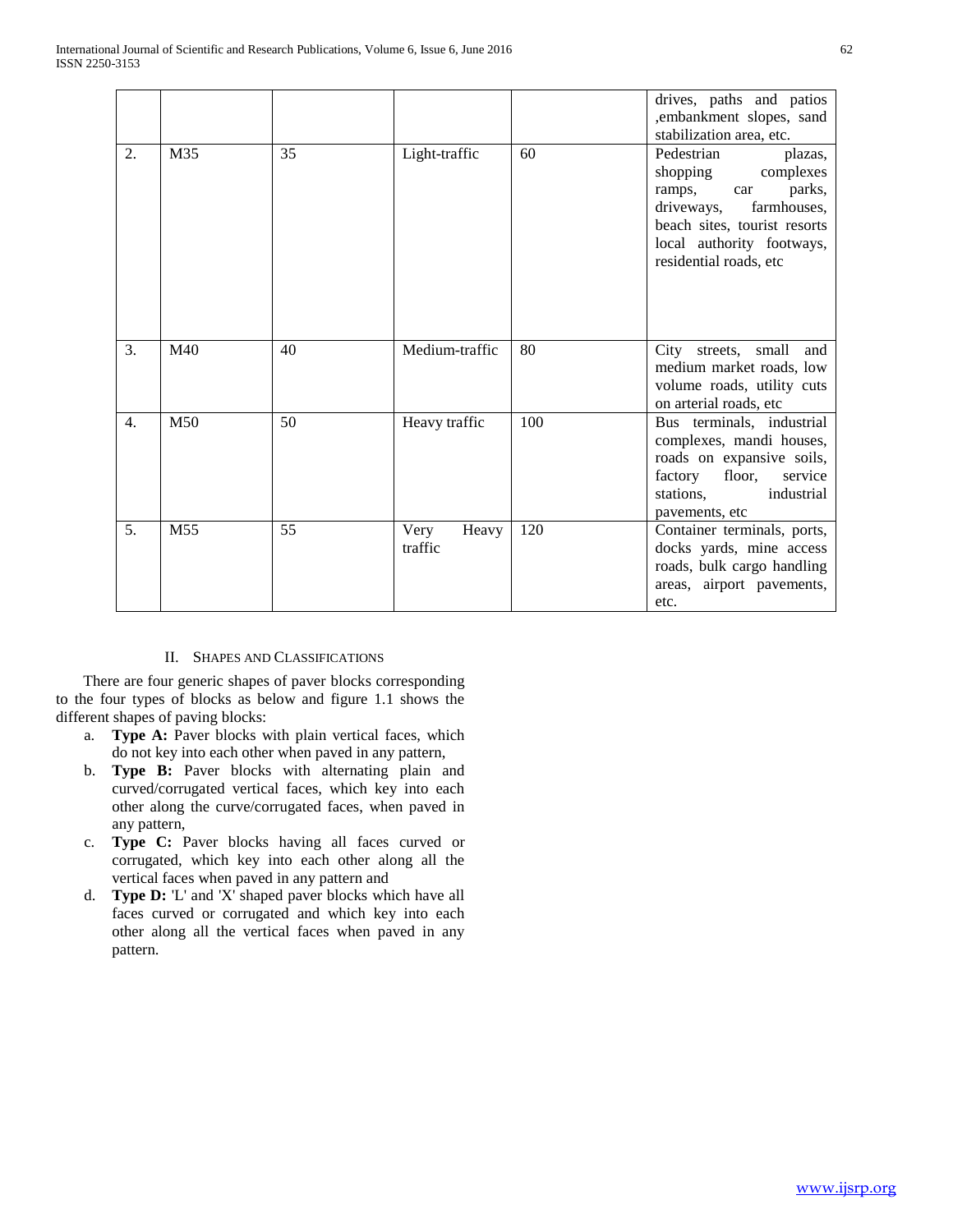|                  |     |    |                          |     | drives, paths and patios<br>,embankment slopes, sand<br>stabilization area, etc.                                                                                                              |
|------------------|-----|----|--------------------------|-----|-----------------------------------------------------------------------------------------------------------------------------------------------------------------------------------------------|
| 2.               | M35 | 35 | Light-traffic            | 60  | Pedestrian<br>plazas,<br>shopping<br>complexes<br>parks,<br>ramps,<br>car<br>driveways,<br>farmhouses,<br>beach sites, tourist resorts<br>local authority footways,<br>residential roads, etc |
| 3.               | M40 | 40 | Medium-traffic           | 80  | City streets, small<br>and<br>medium market roads, low<br>volume roads, utility cuts<br>on arterial roads, etc                                                                                |
| $\overline{4}$ . | M50 | 50 | Heavy traffic            | 100 | Bus terminals, industrial<br>complexes, mandi houses,<br>roads on expansive soils,<br>factory<br>floor,<br>service<br>stations.<br>industrial<br>pavements, etc                               |
| 5.               | M55 | 55 | Very<br>Heavy<br>traffic | 120 | Container terminals, ports,<br>docks yards, mine access<br>roads, bulk cargo handling<br>areas, airport pavements,<br>etc.                                                                    |

# II. SHAPES AND CLASSIFICATIONS

 There are four generic shapes of paver blocks corresponding to the four types of blocks as below and figure 1.1 shows the different shapes of paving blocks:

- a. **Type A:** Paver blocks with plain vertical faces, which do not key into each other when paved in any pattern,
- b. **Type B:** Paver blocks with alternating plain and curved/corrugated vertical faces, which key into each other along the curve/corrugated faces, when paved in any pattern,
- c. **Type C:** Paver blocks having all faces curved or corrugated, which key into each other along all the vertical faces when paved in any pattern and
- d. **Type D:** 'L' and 'X' shaped paver blocks which have all faces curved or corrugated and which key into each other along all the vertical faces when paved in any pattern.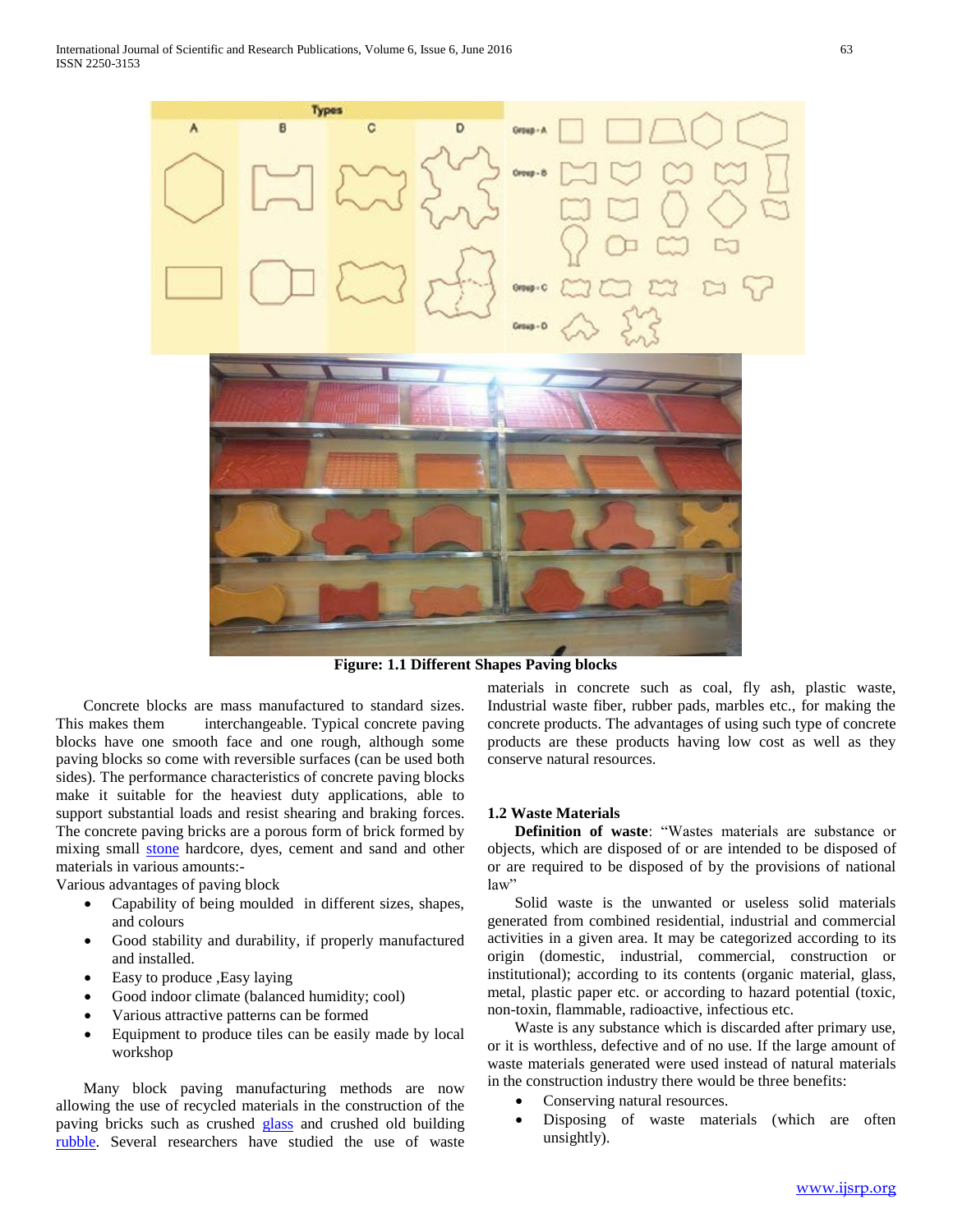

**Figure: 1.1 Different Shapes Paving blocks**

 Concrete blocks are mass manufactured to standard sizes. This makes them interchangeable. Typical concrete paving blocks have one smooth face and one rough, although some paving blocks so come with reversible surfaces (can be used both sides). The performance characteristics of concrete paving blocks make it suitable for the heaviest duty applications, able to support substantial loads and resist shearing and braking forces. The concrete paving bricks are a porous form of brick formed by mixing small [stone](https://en.wikipedia.org/wiki/Stone) hardcore, dyes, cement and sand and other materials in various amounts:-

Various advantages of paving block

- Capability of being moulded in different sizes, shapes, and colours
- Good stability and durability, if properly manufactured and installed.
- Easy to produce ,Easy laying
- Good indoor climate (balanced humidity; cool)
- Various attractive patterns can be formed
- Equipment to produce tiles can be easily made by local workshop

 Many block paving manufacturing methods are now allowing the use of recycled materials in the construction of the paving bricks such as crushed [glass](https://en.wikipedia.org/wiki/Glass) and crushed old building [rubble.](https://en.wikipedia.org/wiki/Rubble) Several researchers have studied the use of waste

materials in concrete such as coal, fly ash, plastic waste, Industrial waste fiber, rubber pads, marbles etc., for making the concrete products. The advantages of using such type of concrete products are these products having low cost as well as they conserve natural resources.

#### **1.2 Waste Materials**

 **Definition of waste**: "Wastes materials are substance or objects, which are disposed of or are intended to be disposed of or are required to be disposed of by the provisions of national law"

 Solid waste is the unwanted or useless solid materials generated from combined residential, industrial and commercial activities in a given area. It may be categorized according to its origin (domestic, industrial, commercial, construction or institutional); according to its contents (organic material, glass, metal, plastic paper etc. or according to hazard potential (toxic, non-toxin, flammable, radioactive, infectious etc.

 Waste is any substance which is discarded after primary use, or it is worthless, defective and of no use. If the large amount of waste materials generated were used instead of natural materials in the construction industry there would be three benefits:

- Conserving natural resources.
- Disposing of waste materials (which are often unsightly).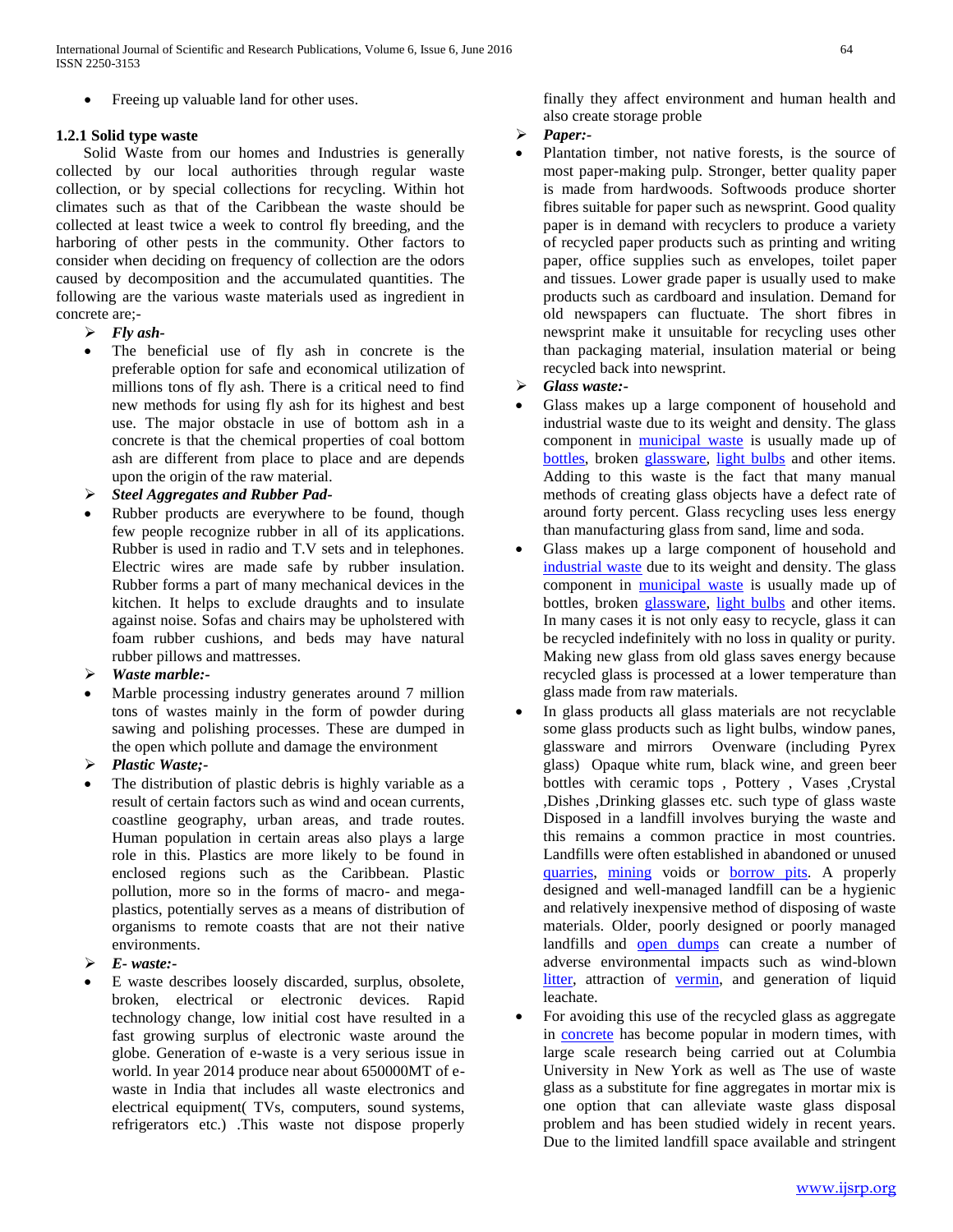Freeing up valuable land for other uses.

## **1.2.1 Solid type waste**

 Solid Waste from our homes and Industries is generally collected by our local authorities through regular waste collection, or by special collections for recycling. Within hot climates such as that of the Caribbean the waste should be collected at least twice a week to control fly breeding, and the harboring of other pests in the community. Other factors to consider when deciding on frequency of collection are the odors caused by decomposition and the accumulated quantities. The following are the various waste materials used as ingredient in concrete are;-

- *Fly ash-*
- The beneficial use of fly ash in concrete is the preferable option for safe and economical utilization of millions tons of fly ash. There is a critical need to find new methods for using fly ash for its highest and best use. The major obstacle in use of bottom ash in a concrete is that the chemical properties of coal bottom ash are different from place to place and are depends upon the origin of the raw material.
- *Steel Aggregates and Rubber Pad-*
- Rubber products are everywhere to be found, though few people recognize rubber in all of its applications. Rubber is used in radio and T.V sets and in telephones. Electric wires are made safe by rubber insulation. Rubber forms a part of many mechanical devices in the kitchen. It helps to exclude draughts and to insulate against noise. Sofas and chairs may be upholstered with foam rubber cushions, and beds may have natural rubber pillows and mattresses.
- *Waste marble:-*
- Marble processing industry generates around 7 million tons of wastes mainly in the form of powder during sawing and polishing processes. These are dumped in the open which pollute and damage the environment
- *Plastic Waste;-*
- The distribution of plastic debris is highly variable as a result of certain factors such as wind and ocean currents, coastline geography, urban areas, and trade routes. Human population in certain areas also plays a large role in this. Plastics are more likely to be found in enclosed regions such as the Caribbean. Plastic pollution, more so in the forms of macro- and megaplastics, potentially serves as a means of distribution of organisms to remote coasts that are not their native environments.
- *E- waste:-*
- E waste describes loosely discarded, surplus, obsolete, broken, electrical or electronic devices. Rapid technology change, low initial cost have resulted in a fast growing surplus of electronic waste around the globe. Generation of e-waste is a very serious issue in world. In year 2014 produce near about 650000MT of ewaste in India that includes all waste electronics and electrical equipment( TVs, computers, sound systems, refrigerators etc.) .This waste not dispose properly

finally they affect environment and human health and also create storage proble

- *Paper:-*
- Plantation timber, not native forests, is the source of most paper-making pulp. Stronger, better quality paper is made from hardwoods. Softwoods produce shorter fibres suitable for paper such as newsprint. Good quality paper is in demand with recyclers to produce a variety of recycled paper products such as printing and writing paper, office supplies such as envelopes, toilet paper and tissues. Lower grade paper is usually used to make products such as cardboard and insulation. Demand for old newspapers can fluctuate. The short fibres in newsprint make it unsuitable for recycling uses other than packaging material, insulation material or being recycled back into newsprint.
- *Glass waste:-*
- Glass makes up a large component of household and industrial waste due to its weight and density. The glass component in [municipal waste](https://en.wikipedia.org/wiki/Municipal_waste) is usually made up of [bottles,](https://en.wikipedia.org/wiki/Bottle) broken [glassware,](https://en.wikipedia.org/wiki/Glassware) [light bulbs](https://en.wikipedia.org/wiki/Light_bulb) and other items. Adding to this waste is the fact that many manual methods of creating glass objects have a defect rate of around forty percent. Glass recycling uses less energy than manufacturing glass from sand, lime and soda.
- Glass makes up a large component of household and [industrial waste](https://en.wikipedia.org/wiki/Industrial_waste) due to its weight and density. The glass component in [municipal waste](https://en.wikipedia.org/wiki/Municipal_waste) is usually made up of bottles, broken [glassware,](https://en.wikipedia.org/wiki/Glassware) [light bulbs](https://en.wikipedia.org/wiki/Light_bulb) and other items. In many cases it is not only easy to recycle, glass it can be recycled indefinitely with no loss in quality or purity. Making new glass from old glass saves energy because recycled glass is processed at a lower temperature than glass made from raw materials.
- In glass products all glass materials are not recyclable some glass products such as light bulbs, window panes, glassware and mirrors Ovenware (including Pyrex glass) Opaque white rum, black wine, and green beer bottles with ceramic tops , Pottery , Vases ,Crystal ,Dishes ,Drinking glasses etc. such type of glass waste Disposed in a landfill involves burying the waste and this remains a common practice in most countries. Landfills were often established in abandoned or unused [quarries,](https://en.wikipedia.org/wiki/Quarry) [mining](https://en.wikipedia.org/wiki/Mining) voids or [borrow pits.](https://en.wikipedia.org/wiki/Borrow_pit) A properly designed and well-managed landfill can be a hygienic and relatively inexpensive method of disposing of waste materials. Older, poorly designed or poorly managed landfills and [open dumps](https://en.wikipedia.org/wiki/Open_dump) can create a number of adverse environmental impacts such as wind-blown [litter,](https://en.wikipedia.org/wiki/Litter) attraction of [vermin,](https://en.wikipedia.org/wiki/Vermin) and generation of liquid leachate.
- For avoiding this use of the recycled glass as aggregate in [concrete](https://en.wikipedia.org/wiki/Concrete) has become popular in modern times, with large scale research being carried out at Columbia University in New York as well as The use of waste glass as a substitute for fine aggregates in mortar mix is one option that can alleviate waste glass disposal problem and has been studied widely in recent years. Due to the limited landfill space available and stringent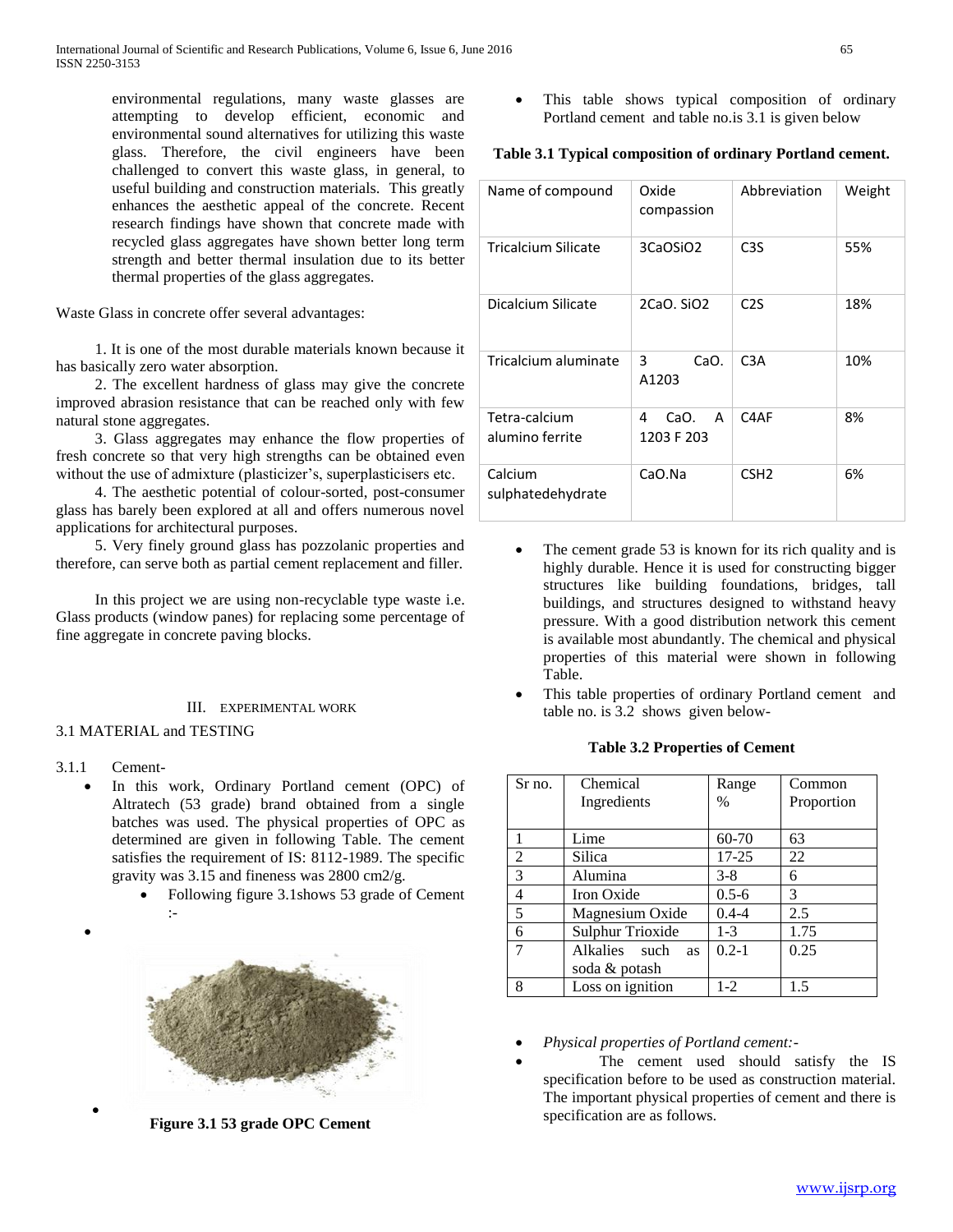environmental regulations, many waste glasses are attempting to develop efficient, economic and environmental sound alternatives for utilizing this waste glass. Therefore, the civil engineers have been challenged to convert this waste glass, in general, to useful building and construction materials. This greatly enhances the aesthetic appeal of the concrete. Recent research findings have shown that concrete made with recycled glass aggregates have shown better long term strength and better thermal insulation due to its better thermal properties of the glass aggregates.

Waste Glass in concrete offer several advantages:

 1. It is one of the most durable materials known because it has basically zero water absorption.

 2. The excellent hardness of glass may give the concrete improved abrasion resistance that can be reached only with few natural stone aggregates.

 3. Glass aggregates may enhance the flow properties of fresh concrete so that very high strengths can be obtained even without the use of admixture (plasticizer's, superplasticisers etc.

 4. The aesthetic potential of colour-sorted, post-consumer glass has barely been explored at all and offers numerous novel applications for architectural purposes.

 5. Very finely ground glass has pozzolanic properties and therefore, can serve both as partial cement replacement and filler.

 In this project we are using non-recyclable type waste i.e. Glass products (window panes) for replacing some percentage of fine aggregate in concrete paving blocks.

#### III. EXPERIMENTAL WORK

#### 3.1 MATERIAL and TESTING

3.1.1 Cement-

 $\bullet$ 

 $\bullet$ 

- In this work, Ordinary Portland cement (OPC) of Altratech (53 grade) brand obtained from a single batches was used. The physical properties of OPC as determined are given in following Table. The cement satisfies the requirement of IS: 8112-1989. The specific gravity was 3.15 and fineness was 2800 cm2/g.
	- Following figure 3.1shows 53 grade of Cement :-



**Figure 3.1 53 grade OPC Cement**

 This table shows typical composition of ordinary Portland cement and table no.is 3.1 is given below

## **Table 3.1 Typical composition of ordinary Portland cement.**

| Name of compound                 | Oxide<br>compassion          | Abbreviation     | Weight |
|----------------------------------|------------------------------|------------------|--------|
| Tricalcium Silicate              | 3CaOSiO2                     | C <sub>3</sub> S | 55%    |
| Dicalcium Silicate               | 2CaO, SiO <sub>2</sub>       | C <sub>2</sub> S | 18%    |
| Tricalcium aluminate             | 3<br>CaO.<br>A1203           | C <sub>3</sub> A | 10%    |
| Tetra-calcium<br>alumino ferrite | 4<br>CaO.<br>A<br>1203 F 203 | C4AF             | 8%     |
| Calcium<br>sulphatedehydrate     | CaO.Na                       | CSH <sub>2</sub> | 6%     |

- The cement grade 53 is known for its rich quality and is highly durable. Hence it is used for constructing bigger structures like building foundations, bridges, tall buildings, and structures designed to withstand heavy pressure. With a good distribution network this cement is available most abundantly. The chemical and physical properties of this material were shown in following Table.
- This table properties of ordinary Portland cement and table no. is 3.2 shows given below-

#### **Table 3.2 Properties of Cement**

| Sr no. | Chemical                   | Range     | Common     |
|--------|----------------------------|-----------|------------|
|        | Ingredients                | $\%$      | Proportion |
|        |                            |           |            |
|        | Lime                       | 60-70     | 63         |
| 2      | Silica                     | $17 - 25$ | 22         |
| 3      | Alumina                    | $3 - 8$   | 6          |
| 4      | Iron Oxide                 | $0.5 - 6$ | 3          |
| 5      | Magnesium Oxide            | $0.4 - 4$ | 2.5        |
| 6      | Sulphur Trioxide           | $1 - 3$   | 1.75       |
| 7      | Alkalies such<br><b>as</b> | $0.2 - 1$ | 0.25       |
|        | soda & potash              |           |            |
| 8      | Loss on ignition           | $1-2$     | 15         |

- *Physical properties of Portland cement:-*
- The cement used should satisfy the IS specification before to be used as construction material. The important physical properties of cement and there is specification are as follows.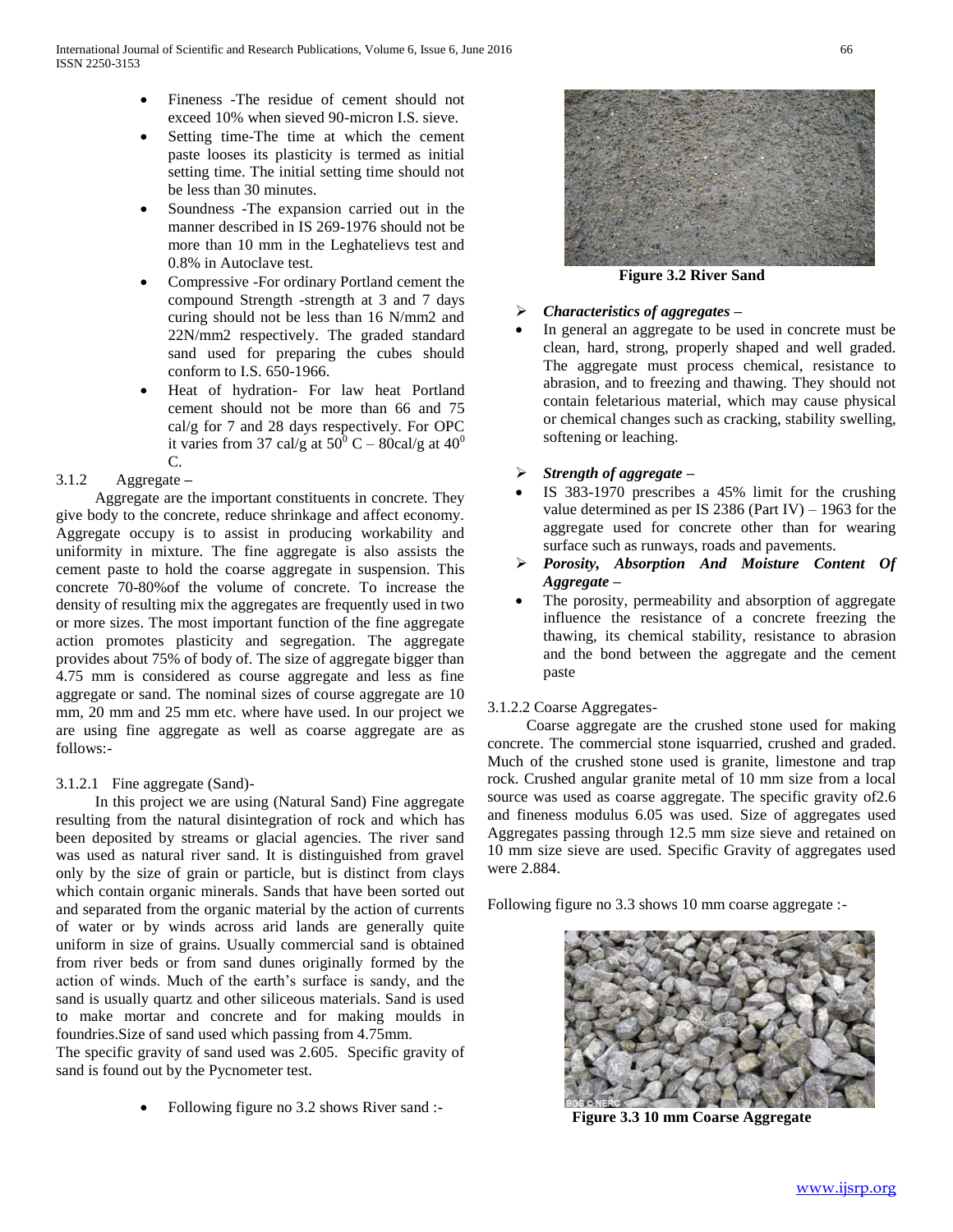- Fineness -The residue of cement should not exceed 10% when sieved 90-micron I.S. sieve.
- Setting time-The time at which the cement paste looses its plasticity is termed as initial setting time. The initial setting time should not be less than 30 minutes.
- Soundness -The expansion carried out in the manner described in IS 269-1976 should not be more than 10 mm in the Leghatelievs test and 0.8% in Autoclave test.
- Compressive -For ordinary Portland cement the compound Strength -strength at 3 and 7 days curing should not be less than 16 N/mm2 and 22N/mm2 respectively. The graded standard sand used for preparing the cubes should conform to I.S. 650-1966.
- Heat of hydration- For law heat Portland cement should not be more than 66 and 75 cal/g for 7 and 28 days respectively. For OPC it varies from 37 cal/g at  $50^{\circ}$  C – 80cal/g at  $40^{\circ}$ C.

## 3.1.2 Aggregate **–**

 Aggregate are the important constituents in concrete. They give body to the concrete, reduce shrinkage and affect economy. Aggregate occupy is to assist in producing workability and uniformity in mixture. The fine aggregate is also assists the cement paste to hold the coarse aggregate in suspension. This concrete 70-80%of the volume of concrete. To increase the density of resulting mix the aggregates are frequently used in two or more sizes. The most important function of the fine aggregate action promotes plasticity and segregation. The aggregate provides about 75% of body of. The size of aggregate bigger than 4.75 mm is considered as course aggregate and less as fine aggregate or sand. The nominal sizes of course aggregate are 10 mm, 20 mm and 25 mm etc. where have used. In our project we are using fine aggregate as well as coarse aggregate are as follows:-

### 3.1.2.1 Fine aggregate (Sand)-

 In this project we are using (Natural Sand) Fine aggregate resulting from the natural disintegration of rock and which has been deposited by streams or glacial agencies. The river sand was used as natural river sand. It is distinguished from gravel only by the size of grain or particle, but is distinct from clays which contain organic minerals. Sands that have been sorted out and separated from the organic material by the action of currents of water or by winds across arid lands are generally quite uniform in size of grains. Usually commercial sand is obtained from river beds or from sand dunes originally formed by the action of winds. Much of the earth's surface is sandy, and the sand is usually quartz and other siliceous materials. Sand is used to make mortar and concrete and for making moulds in foundries.Size of sand used which passing from 4.75mm.

The specific gravity of sand used was 2.605. Specific gravity of sand is found out by the Pycnometer test.

Following figure no 3.2 shows River sand :-



**Figure 3.2 River Sand**

#### *Characteristics of aggregates –*

- In general an aggregate to be used in concrete must be clean, hard, strong, properly shaped and well graded. The aggregate must process chemical, resistance to abrasion, and to freezing and thawing. They should not contain feletarious material, which may cause physical or chemical changes such as cracking, stability swelling, softening or leaching.
- *Strength of aggregate –*
- IS 383-1970 prescribes a 45% limit for the crushing value determined as per IS 2386 (Part IV)  $-$  1963 for the aggregate used for concrete other than for wearing surface such as runways, roads and pavements.
- *Porosity, Absorption And Moisture Content Of Aggregate –*
- The porosity, permeability and absorption of aggregate influence the resistance of a concrete freezing the thawing, its chemical stability, resistance to abrasion and the bond between the aggregate and the cement paste

### 3.1.2.2 Coarse Aggregates-

 Coarse aggregate are the crushed stone used for making concrete. The commercial stone isquarried, crushed and graded. Much of the crushed stone used is granite, limestone and trap rock. Crushed angular granite metal of 10 mm size from a local source was used as coarse aggregate. The specific gravity of2.6 and fineness modulus 6.05 was used. Size of aggregates used Aggregates passing through 12.5 mm size sieve and retained on 10 mm size sieve are used. Specific Gravity of aggregates used were 2.884.

Following figure no 3.3 shows 10 mm coarse aggregate :-



**Figure 3.3 10 mm Coarse Aggregate**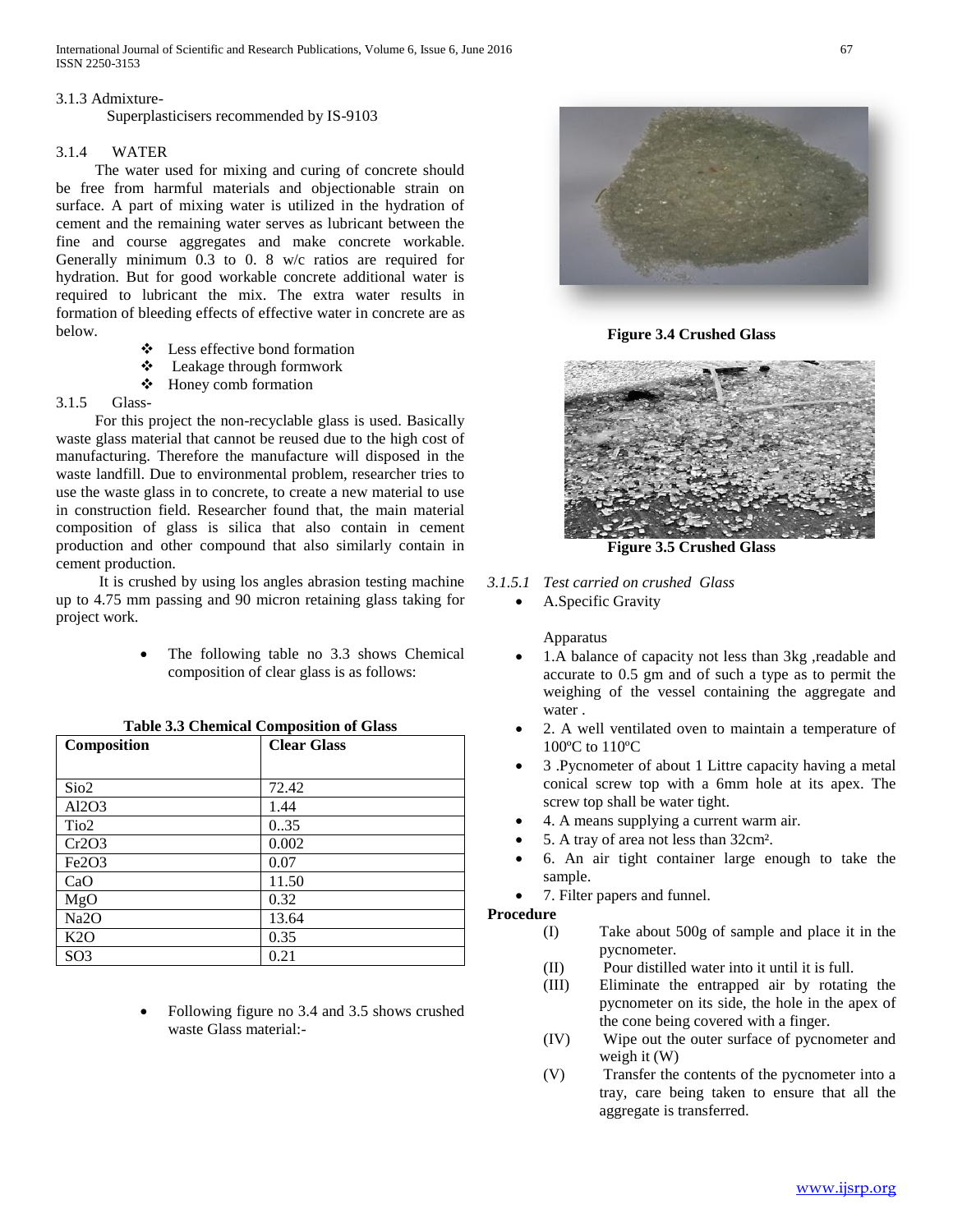International Journal of Scientific and Research Publications, Volume 6, Issue 6, June 2016 67 ISSN 2250-3153

#### 3.1.3 Admixture-

Superplasticisers recommended by IS-9103

#### 3.1.4 WATER

 The water used for mixing and curing of concrete should be free from harmful materials and objectionable strain on surface. A part of mixing water is utilized in the hydration of cement and the remaining water serves as lubricant between the fine and course aggregates and make concrete workable. Generally minimum 0.3 to 0. 8 w/c ratios are required for hydration. But for good workable concrete additional water is required to lubricant the mix. The extra water results in formation of bleeding effects of effective water in concrete are as below.

- Less effective bond formation
- Leakage through formwork
- Honey comb formation

## 3.1.5 Glass-

 For this project the non-recyclable glass is used. Basically waste glass material that cannot be reused due to the high cost of manufacturing. Therefore the manufacture will disposed in the waste landfill. Due to environmental problem, researcher tries to use the waste glass in to concrete, to create a new material to use in construction field. Researcher found that, the main material composition of glass is silica that also contain in cement production and other compound that also similarly contain in cement production.

 It is crushed by using los angles abrasion testing machine up to 4.75 mm passing and 90 micron retaining glass taking for project work.

> The following table no 3.3 shows Chemical composition of clear glass is as follows:

| Composition       | $\frac{1}{2}$<br><b>Clear Glass</b> |
|-------------------|-------------------------------------|
|                   |                                     |
| Sio <sub>2</sub>  | 72.42                               |
| Al2O3             | 1.44                                |
| Tio <sub>2</sub>  | 0.35                                |
| Cr2O3             | 0.002                               |
| Fe2O3             | 0.07                                |
| CaO               | 11.50                               |
| MgO               | 0.32                                |
| Na <sub>2</sub> O | 13.64                               |
| K2O               | 0.35                                |
| SO <sub>3</sub>   | 0.21                                |

#### **Table 3.3 Chemical Composition of Glass**

 Following figure no 3.4 and 3.5 shows crushed waste Glass material:-



**Figure 3.4 Crushed Glass**



**Figure 3.5 Crushed Glass**

## *3.1.5.1 Test carried on crushed Glass*

A.Specific Gravity

Apparatus

- 1.A balance of capacity not less than 3kg ,readable and accurate to 0.5 gm and of such a type as to permit the weighing of the vessel containing the aggregate and water .
- 2. A well ventilated oven to maintain a temperature of 100ºC to 110ºC
- 3 .Pycnometer of about 1 Littre capacity having a metal conical screw top with a 6mm hole at its apex. The screw top shall be water tight.
- 4. A means supplying a current warm air.
- 5. A tray of area not less than 32cm².
- 6. An air tight container large enough to take the sample.
- 7. Filter papers and funnel.

# **Procedure**

- (I) Take about 500g of sample and place it in the pycnometer.
- (II) Pour distilled water into it until it is full.
- (III) Eliminate the entrapped air by rotating the pycnometer on its side, the hole in the apex of the cone being covered with a finger.
- (IV) Wipe out the outer surface of pycnometer and weigh it (W)
- (V) Transfer the contents of the pycnometer into a tray, care being taken to ensure that all the aggregate is transferred.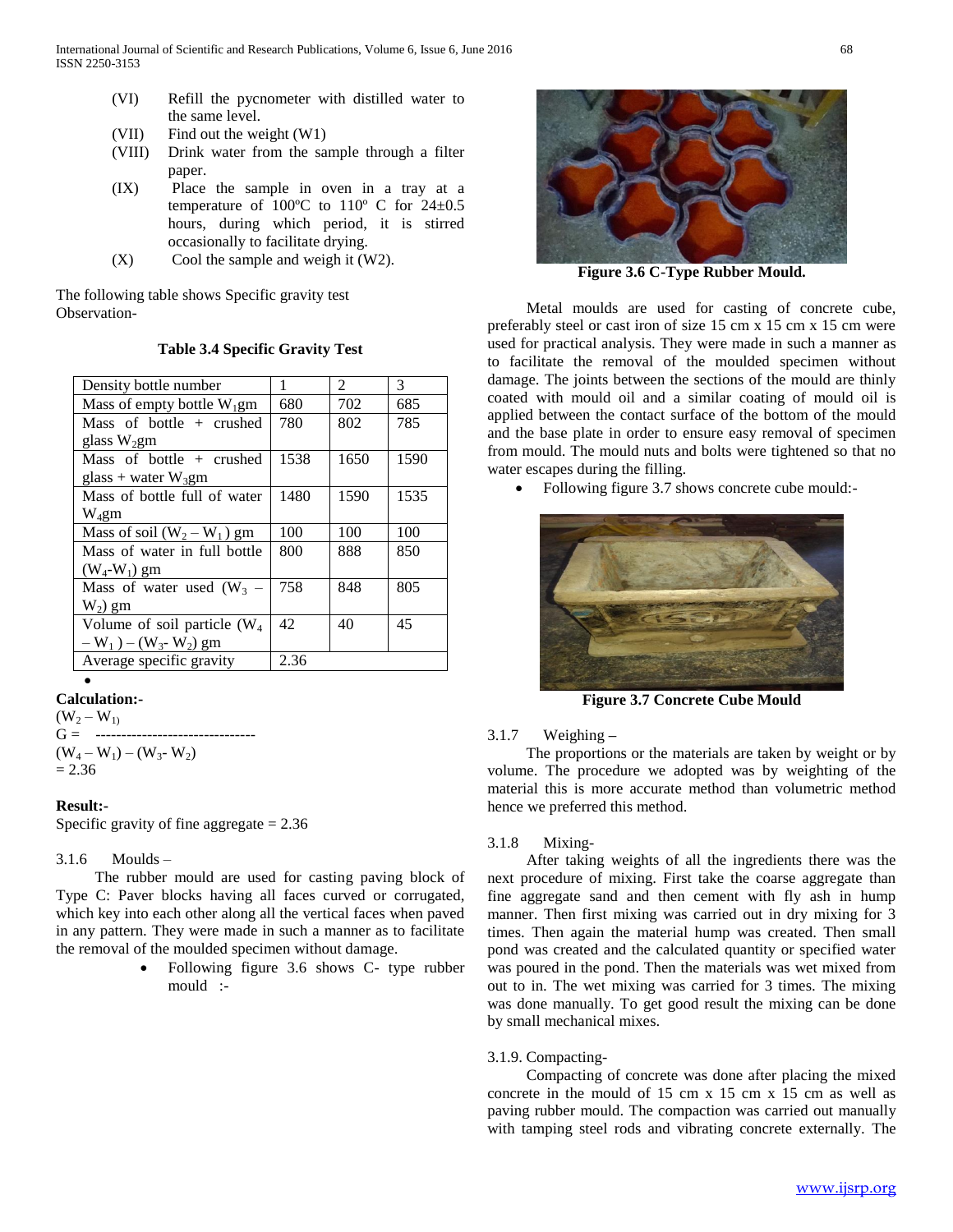- (VI) Refill the pycnometer with distilled water to the same level.
- (VII) Find out the weight (W1)
- (VIII) Drink water from the sample through a filter paper.
- (IX) Place the sample in oven in a tray at a temperature of  $100^{\circ}$ C to  $110^{\circ}$  C for  $24 \pm 0.5$ hours, during which period, it is stirred occasionally to facilitate drying.
- $(X)$  Cool the sample and weigh it  $(W2)$ .

The following table shows Specific gravity test Observation-

| Density bottle number                            | 1    | $\mathfrak{D}$ | $\mathcal{R}$ |
|--------------------------------------------------|------|----------------|---------------|
| Mass of empty bottle $W_1$ gm                    | 680  | 702            | 685           |
| Mass of bottle $+$ crushed                       | 780  | 802            | 785           |
| glass $W_2$ gm                                   |      |                |               |
| Mass of bottle $+$ crushed                       | 1538 | 1650           | 1590          |
| glass + water $W_3$ gm                           |      |                |               |
| Mass of bottle full of water                     | 1480 | 1590           | 1535          |
| $W_4$ gm                                         |      |                |               |
| Mass of soil $(W_2-W_1)$ gm                      | 100  | 100            | 100           |
| Mass of water in full bottle                     | 800  | 888            | 850           |
| $(W_4-W_1)$ gm                                   |      |                |               |
| Mass of water used $(W_3 -$                      | 758  | 848            | 805           |
| $W_2$ ) gm                                       |      |                |               |
| Volume of soil particle $(W_4)$                  | 42   | 40             | 45            |
| $-W_1$ ) – (W <sub>3</sub> - W <sub>2</sub> ) gm |      |                |               |
| Average specific gravity                         | 2.36 |                |               |

## **Table 3.4 Specific Gravity Test**

# $\bullet$

# **Calculation:-**

 $(W_2 - W_1)$  $G =$  ------- $(W_4-W_1)-(W_3-W_2)$  $= 2.36$ 

# **Result:-**

Specific gravity of fine aggregate  $= 2.36$ 

### 3.1.6 Moulds –

 The rubber mould are used for casting paving block of Type C: Paver blocks having all faces curved or corrugated, which key into each other along all the vertical faces when paved in any pattern. They were made in such a manner as to facilitate the removal of the moulded specimen without damage.

> Following figure 3.6 shows C- type rubber mould :-



**Figure 3.6 C-Type Rubber Mould.**

 Metal moulds are used for casting of concrete cube, preferably steel or cast iron of size 15 cm x 15 cm x 15 cm were used for practical analysis. They were made in such a manner as to facilitate the removal of the moulded specimen without damage. The joints between the sections of the mould are thinly coated with mould oil and a similar coating of mould oil is applied between the contact surface of the bottom of the mould and the base plate in order to ensure easy removal of specimen from mould. The mould nuts and bolts were tightened so that no water escapes during the filling.

Following figure 3.7 shows concrete cube mould:-



**Figure 3.7 Concrete Cube Mould**

# 3.1.7 Weighing **–**

 The proportions or the materials are taken by weight or by volume. The procedure we adopted was by weighting of the material this is more accurate method than volumetric method hence we preferred this method.

### 3.1.8 Mixing-

 After taking weights of all the ingredients there was the next procedure of mixing. First take the coarse aggregate than fine aggregate sand and then cement with fly ash in hump manner. Then first mixing was carried out in dry mixing for 3 times. Then again the material hump was created. Then small pond was created and the calculated quantity or specified water was poured in the pond. Then the materials was wet mixed from out to in. The wet mixing was carried for 3 times. The mixing was done manually. To get good result the mixing can be done by small mechanical mixes.

## 3.1.9. Compacting-

 Compacting of concrete was done after placing the mixed concrete in the mould of 15 cm x 15 cm x 15 cm as well as paving rubber mould. The compaction was carried out manually with tamping steel rods and vibrating concrete externally. The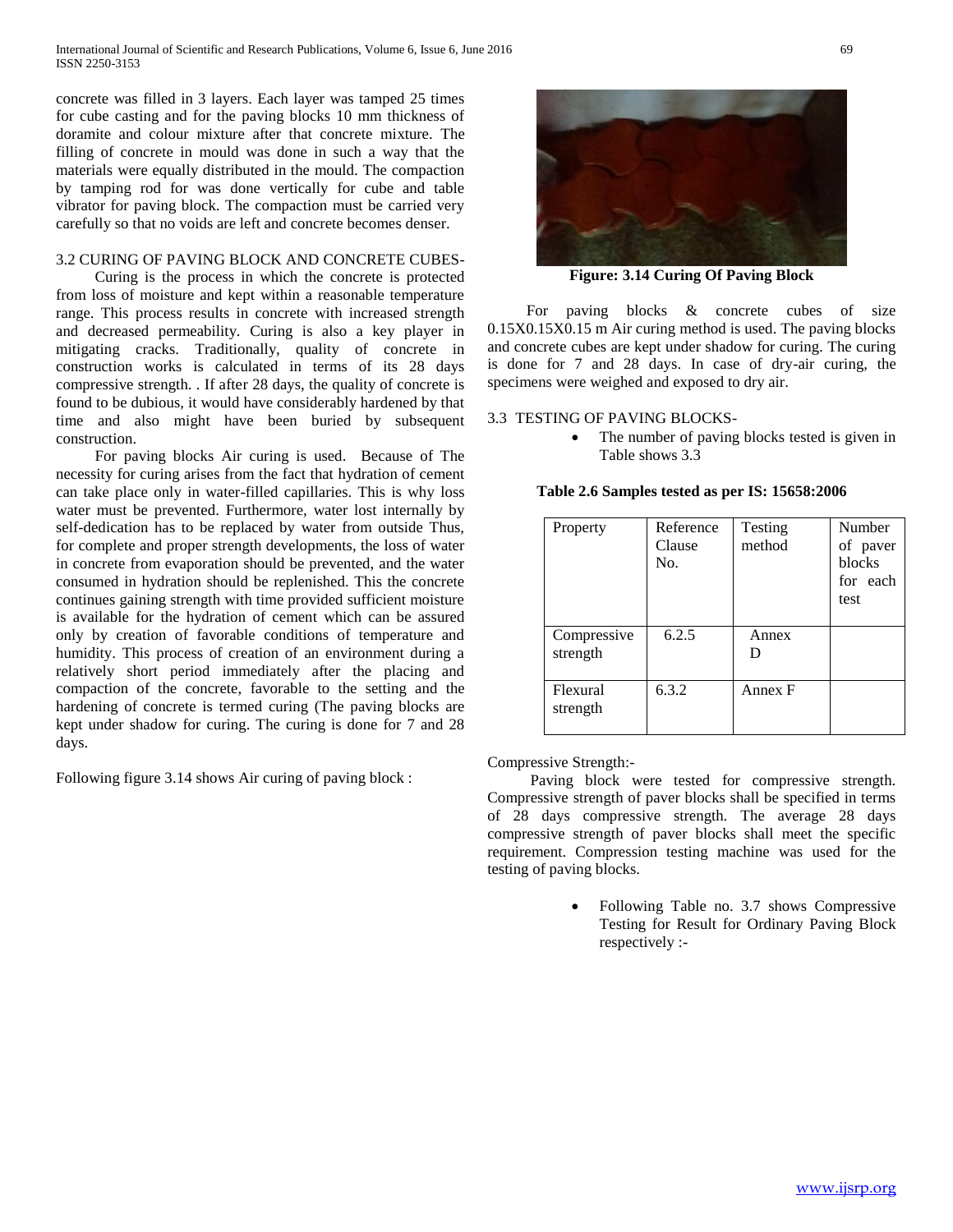concrete was filled in 3 layers. Each layer was tamped 25 times for cube casting and for the paving blocks 10 mm thickness of doramite and colour mixture after that concrete mixture. The filling of concrete in mould was done in such a way that the materials were equally distributed in the mould. The compaction by tamping rod for was done vertically for cube and table vibrator for paving block. The compaction must be carried very carefully so that no voids are left and concrete becomes denser.

# 3.2 CURING OF PAVING BLOCK AND CONCRETE CUBES-

 Curing is the process in which the concrete is protected from loss of moisture and kept within a reasonable temperature range. This process results in concrete with increased strength and decreased permeability. Curing is also a key player in mitigating cracks. Traditionally, quality of concrete in construction works is calculated in terms of its 28 days compressive strength. . If after 28 days, the quality of concrete is found to be dubious, it would have considerably hardened by that time and also might have been buried by subsequent construction.

 For paving blocks Air curing is used. Because of The necessity for curing arises from the fact that hydration of cement can take place only in water-filled capillaries. This is why loss water must be prevented. Furthermore, water lost internally by self-dedication has to be replaced by water from outside Thus, for complete and proper strength developments, the loss of water in concrete from evaporation should be prevented, and the water consumed in hydration should be replenished. This the concrete continues gaining strength with time provided sufficient moisture is available for the hydration of cement which can be assured only by creation of favorable conditions of temperature and humidity. This process of creation of an environment during a relatively short period immediately after the placing and compaction of the concrete, favorable to the setting and the hardening of concrete is termed curing (The paving blocks are kept under shadow for curing. The curing is done for 7 and 28 days.

Following figure 3.14 shows Air curing of paving block :



**Figure: 3.14 Curing Of Paving Block**

 For paving blocks & concrete cubes of size 0.15X0.15X0.15 m Air curing method is used. The paving blocks and concrete cubes are kept under shadow for curing. The curing is done for 7 and 28 days. In case of dry-air curing, the specimens were weighed and exposed to dry air.

3.3 TESTING OF PAVING BLOCKS-

 The number of paving blocks tested is given in Table shows 3.3

| Property                | Reference<br>Clause<br>No. | Testing<br>method | Number<br>of paver<br>blocks<br>for each<br>test |
|-------------------------|----------------------------|-------------------|--------------------------------------------------|
| Compressive<br>strength | 6.2.5                      | Annex             |                                                  |
| Flexural<br>strength    | 6.3.2                      | Annex F           |                                                  |

#### **Table 2.6 Samples tested as per IS: 15658:2006**

Compressive Strength:-

 Paving block were tested for compressive strength. Compressive strength of paver blocks shall be specified in terms of 28 days compressive strength. The average 28 days compressive strength of paver blocks shall meet the specific requirement. Compression testing machine was used for the testing of paving blocks.

> Following Table no. 3.7 shows Compressive Testing for Result for Ordinary Paving Block respectively :-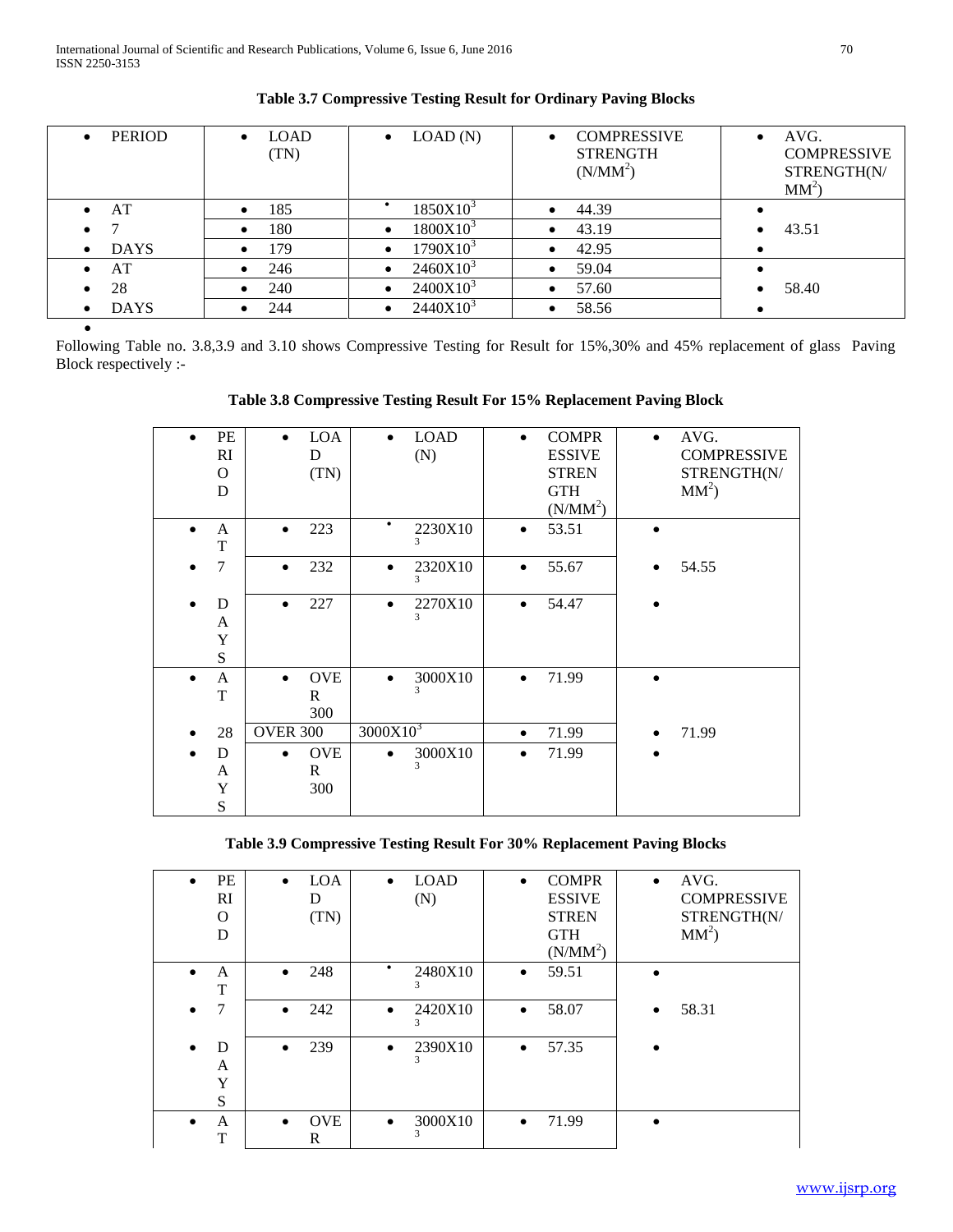| <b>PERIOD</b><br>$\bullet$ | <b>LOAD</b><br>$\bullet$<br>(TN) | LOAD(N)<br>$\bullet$              | <b>COMPRESSIVE</b><br>$\bullet$<br><b>STRENGTH</b><br>(N/MM <sup>2</sup> ) | AVG.<br>$\bullet$<br><b>COMPRESSIVE</b><br>STRENGTH(N/<br>$MM^2$ |
|----------------------------|----------------------------------|-----------------------------------|----------------------------------------------------------------------------|------------------------------------------------------------------|
| AT<br>$\bullet$            | 185                              | $1850X10^3$                       | 44.39                                                                      |                                                                  |
| $\bullet$                  | 180<br>$\bullet$                 | 1800X10 <sup>3</sup><br>$\bullet$ | 43.19                                                                      | 43.51                                                            |
| <b>DAYS</b><br>$\bullet$   | 179<br>٠                         | $1790X10^3$<br>$\bullet$          | 42.95                                                                      |                                                                  |
| AT<br>$\bullet$            | 246                              | $2460X10^3$<br>$\bullet$          | 59.04                                                                      |                                                                  |
| 28<br>$\bullet$            | 240<br>$\bullet$                 | $2400X10^3$<br>$\bullet$          | 57.60                                                                      | 58.40                                                            |
| <b>DAYS</b><br>$\bullet$   | 244                              | $2440X10^3$<br>٠                  | 58.56                                                                      |                                                                  |
|                            |                                  |                                   |                                                                            |                                                                  |

# **Table 3.7 Compressive Testing Result for Ordinary Paving Blocks**

Following Table no. 3.8,3.9 and 3.10 shows Compressive Testing for Result for 15%,30% and 45% replacement of glass Paving Block respectively :-

# **Table 3.8 Compressive Testing Result For 15% Replacement Paving Block**

| PE<br>$\bullet$<br>RI<br>$\Omega$<br>D | <b>LOA</b><br>$\bullet$<br>D<br>(TN)           | <b>LOAD</b><br>$\bullet$<br>(N) | <b>COMPR</b><br>$\bullet$<br><b>ESSIVE</b><br><b>STREN</b><br><b>GTH</b><br>(N/MM <sup>2</sup> ) | AVG.<br>$\bullet$<br><b>COMPRESSIVE</b><br>STRENGTH(N/<br>$MM^2$ |
|----------------------------------------|------------------------------------------------|---------------------------------|--------------------------------------------------------------------------------------------------|------------------------------------------------------------------|
| A<br>$\bullet$<br>T                    | 223<br>$\bullet$                               | $\bullet$<br>2230X10<br>3       | 53.51<br>$\bullet$                                                                               | $\bullet$                                                        |
| 7                                      | 232<br>$\bullet$                               | 2320X10<br>$\bullet$<br>3       | 55.67<br>$\bullet$                                                                               | 54.55                                                            |
| D<br>$\bullet$<br>A<br>Y<br>S          | 227<br>$\bullet$                               | 2270X10<br>$\bullet$<br>3       | 54.47<br>$\bullet$                                                                               |                                                                  |
| A<br>$\bullet$<br>T                    | <b>OVE</b><br>$\bullet$<br>$\mathsf{R}$<br>300 | 3000X10<br>$\bullet$<br>3       | 71.99<br>$\bullet$                                                                               | $\bullet$                                                        |
| 28                                     | <b>OVER 300</b>                                | 3000X10 <sup>3</sup>            | 71.99<br>$\bullet$                                                                               | 71.99                                                            |
| D<br>$\bullet$<br>A<br>Y<br>S          | <b>OVE</b><br>$\bullet$<br>$\mathbf R$<br>300  | 3000X10<br>3                    | 71.99<br>$\bullet$                                                                               |                                                                  |

**Table 3.9 Compressive Testing Result For 30% Replacement Paving Blocks**

| PE<br>$\bullet$<br>RI<br>O<br>D | <b>LOA</b><br>$\bullet$<br>D<br>(TN) | <b>LOAD</b><br>$\bullet$<br>(N) | <b>COMPR</b><br>$\bullet$<br><b>ESSIVE</b><br><b>STREN</b><br><b>GTH</b><br>(N/MM <sup>2</sup> ) | AVG.<br>$\bullet$<br><b>COMPRESSIVE</b><br>STRENGTH(N/<br>$MM^2$ |
|---------------------------------|--------------------------------------|---------------------------------|--------------------------------------------------------------------------------------------------|------------------------------------------------------------------|
| A<br>$\bullet$<br>T             | 248                                  | ٠<br>2480X10<br>3               | 59.51<br>$\bullet$                                                                               |                                                                  |
| 7                               | 242<br>$\bullet$                     | 2420X10<br>$\bullet$<br>3       | 58.07<br>$\bullet$                                                                               | 58.31                                                            |
| D<br>$\bullet$<br>A<br>Y<br>S   | 239<br>$\bullet$                     | 2390X10<br>$\bullet$<br>3       | 57.35<br>$\bullet$                                                                               |                                                                  |
| A<br>$\bullet$<br>T             | <b>OVE</b><br>$\bullet$<br>R         | 3000X10<br>$\bullet$<br>3       | 71.99<br>$\bullet$                                                                               | $\bullet$                                                        |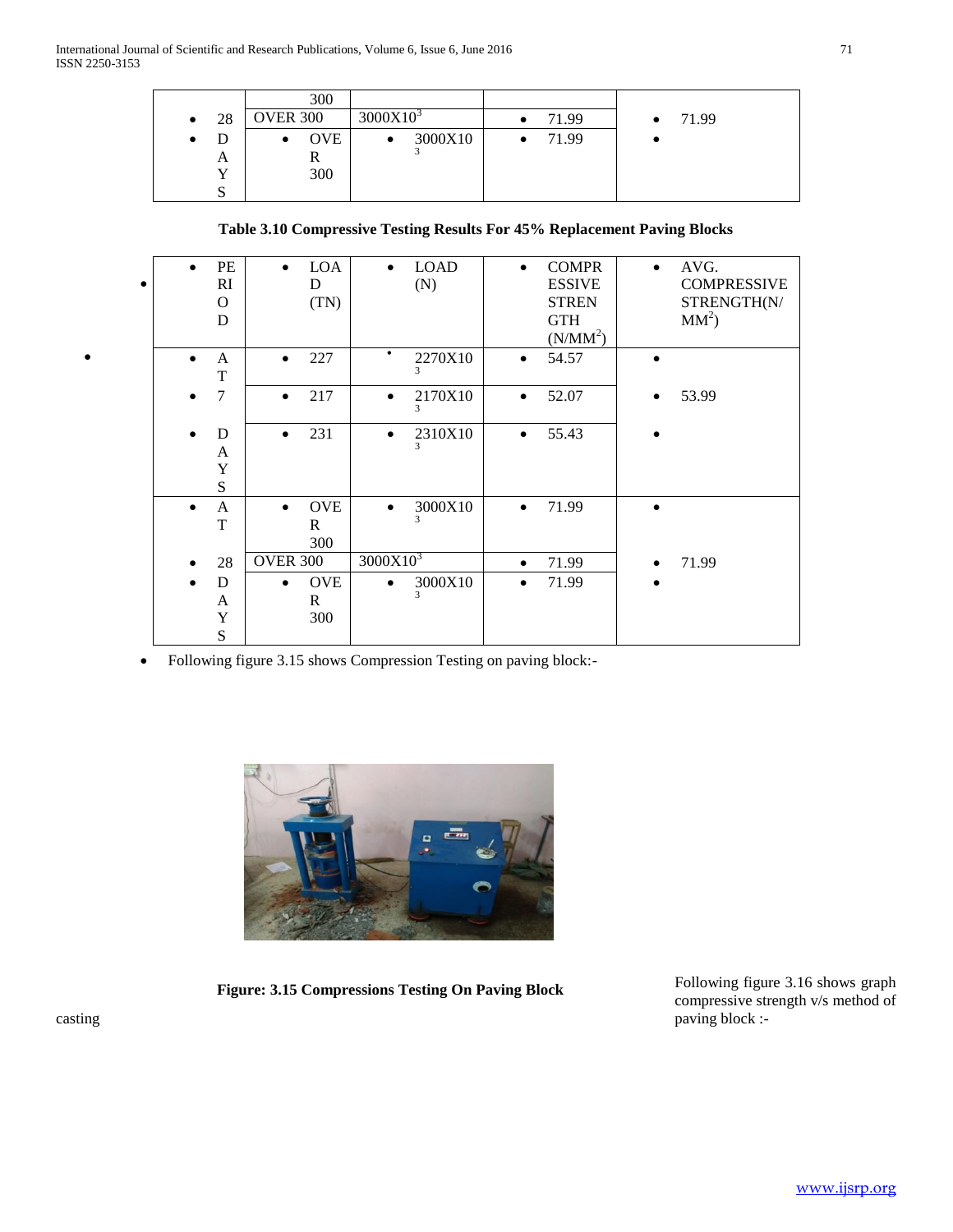|                 | 300             |                      |            |       |
|-----------------|-----------------|----------------------|------------|-------|
| 28<br>$\bullet$ | <b>OVER 300</b> | 3000X10 <sup>3</sup> | 71.99<br>٠ | 71.99 |
| D<br>٠          | <b>OVE</b><br>٠ | 3000X10<br>٠         | 71.99      |       |
| A               |                 |                      |            |       |
| ۲Z              | 300             |                      |            |       |
| ມ               |                 |                      |            |       |

# **Table 3.10 Compressive Testing Results For 45% Replacement Paving Blocks**

| $\bullet$ | $\bullet$ | PE<br>RI<br>$\Omega$<br>D  | <b>LOA</b><br>$\bullet$<br>D<br>(TN)           | <b>LOAD</b><br>$\bullet$<br>(N) | <b>COMPR</b><br>$\bullet$<br><b>ESSIVE</b><br><b>STREN</b><br><b>GTH</b><br>(N/MM <sup>2</sup> ) | AVG.<br>$\bullet$<br><b>COMPRESSIVE</b><br>STRENGTH(N/<br>$MM^2$ |
|-----------|-----------|----------------------------|------------------------------------------------|---------------------------------|--------------------------------------------------------------------------------------------------|------------------------------------------------------------------|
|           |           | A<br>T                     | 227<br>$\bullet$                               | $\bullet$<br>2270X10<br>3       | 54.57<br>$\bullet$                                                                               |                                                                  |
|           |           | 7                          | 217<br>$\bullet$                               | 2170X10<br>$\bullet$<br>3       | 52.07                                                                                            | 53.99                                                            |
|           |           | D<br>A<br>Y<br>S           | 231<br>$\bullet$                               | 2310X10<br>$\bullet$<br>3       | 55.43<br>$\bullet$                                                                               |                                                                  |
|           | $\bullet$ | A<br>$\mathbf T$           | <b>OVE</b><br>$\bullet$<br>$\mathbf{R}$<br>300 | 3000X10<br>$\bullet$<br>3       | 71.99<br>$\bullet$                                                                               | $\bullet$                                                        |
|           |           | 28                         | <b>OVER 300</b>                                | 3000X10 <sup>3</sup>            | 71.99<br>$\bullet$                                                                               | 71.99                                                            |
|           |           | D<br>A<br>Y<br>$\mathbf S$ | <b>OVE</b><br>$\bullet$<br>R<br>300            | 3000X10<br>$\bullet$<br>3       | 71.99                                                                                            |                                                                  |

Following figure 3.15 shows Compression Testing on paving block:-



**Figure: 3.15 Compressions Testing On Paving Block**

Following figure 3.16 shows graph compressive strength v/s method of casting paving block :-

 $\bullet$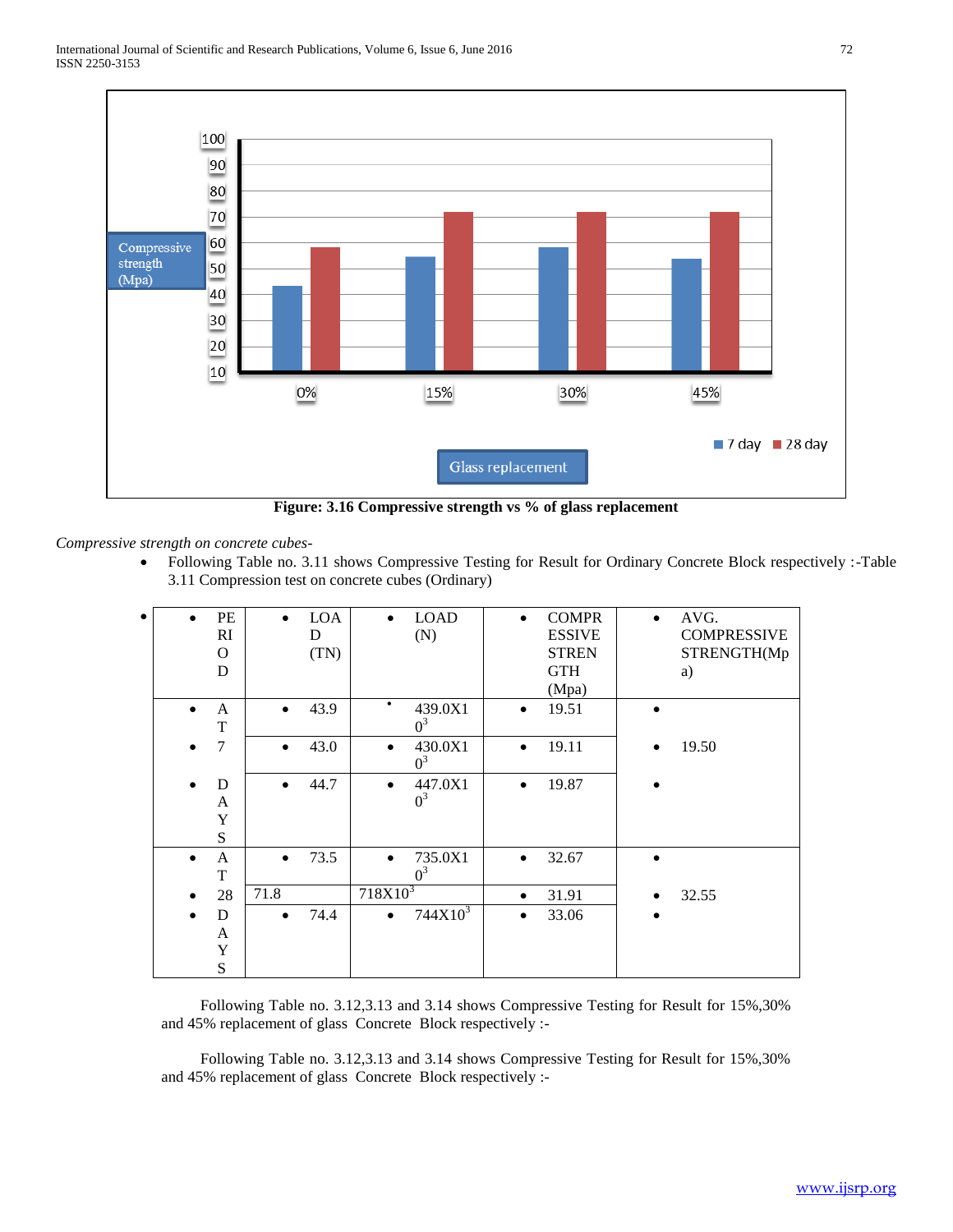

**Figure: 3.16 Compressive strength vs % of glass replacement**

*Compressive strength on concrete cubes-*

 Following Table no. 3.11 shows Compressive Testing for Result for Ordinary Concrete Block respectively :-Table 3.11 Compression test on concrete cubes (Ordinary)

| $\bullet$ |           | PE<br>RI<br>$\Omega$<br>D | $\bullet$ | <b>LOA</b><br>D<br>(TN) | <b>LOAD</b><br>(N)            | <b>COMPR</b><br>$\bullet$<br><b>ESSIVE</b><br><b>STREN</b><br><b>GTH</b><br>(Mpa) | $\bullet$ | AVG.<br><b>COMPRESSIVE</b><br>STRENGTH(Mp<br>a) |
|-----------|-----------|---------------------------|-----------|-------------------------|-------------------------------|-----------------------------------------------------------------------------------|-----------|-------------------------------------------------|
|           |           | A<br>T                    | $\bullet$ | 43.9                    | ٠<br>439.0X1<br>$0^3$         | 19.51<br>$\bullet$                                                                |           |                                                 |
|           |           | 7                         | $\bullet$ | 43.0                    | 430.0X1<br>$\bullet$<br>$0^3$ | 19.11<br>$\bullet$                                                                | $\bullet$ | 19.50                                           |
|           |           | D<br>A<br>Y<br>S          | $\bullet$ | 44.7                    | 447.0X1<br>$0^3$              | 19.87<br>٠                                                                        |           |                                                 |
|           | $\bullet$ | A<br>T                    | $\bullet$ | 73.5                    | 735.0X1<br>$\bullet$<br>$0^3$ | 32.67<br>$\bullet$                                                                | $\bullet$ |                                                 |
|           |           | 28                        | 71.8      |                         | $718X10^3$                    | 31.91<br>٠                                                                        | $\bullet$ | 32.55                                           |
|           | $\bullet$ | D<br>A<br>Y<br>S          | $\bullet$ | 74.4                    | $744X10^3$<br>$\bullet$       | 33.06<br>$\bullet$                                                                | $\bullet$ |                                                 |

 Following Table no. 3.12,3.13 and 3.14 shows Compressive Testing for Result for 15%,30% and 45% replacement of glass Concrete Block respectively :-

 Following Table no. 3.12,3.13 and 3.14 shows Compressive Testing for Result for 15%,30% and 45% replacement of glass Concrete Block respectively :-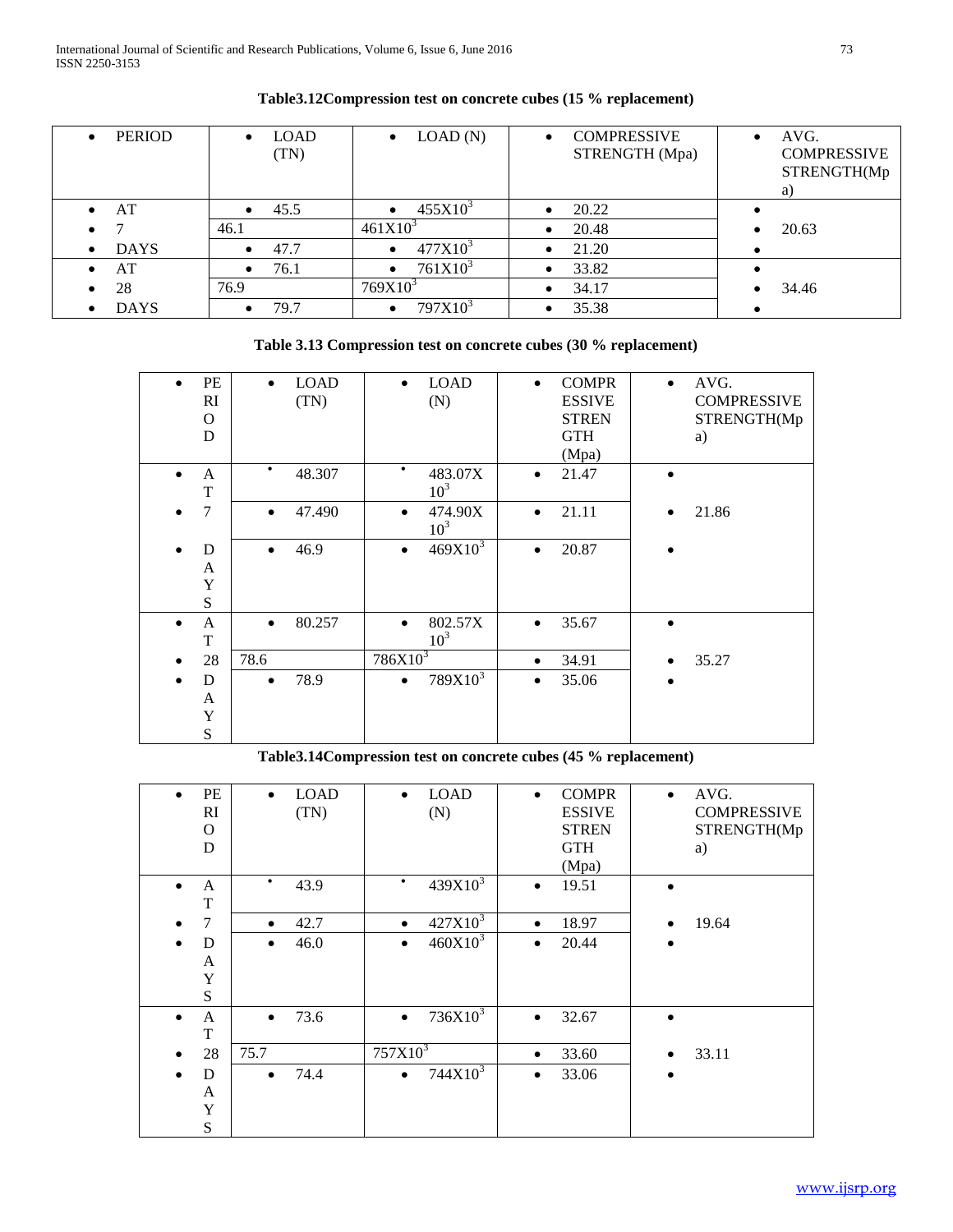| <b>PERIOD</b><br>$\bullet$ | <b>LOAD</b><br>$\bullet$<br>(TN) | LOAD(N)<br>$\bullet$             | <b>COMPRESSIVE</b><br>STRENGTH (Mpa) | AVG.<br>$\bullet$<br><b>COMPRESSIVE</b><br>STRENGTH(Mp<br>a) |
|----------------------------|----------------------------------|----------------------------------|--------------------------------------|--------------------------------------------------------------|
| AT<br>$\bullet$            | 45.5<br>$\bullet$                | $455X10^{3}$                     | 20.22                                |                                                              |
| $\bullet$                  | 46.1                             | $461X10^{3}$                     | 20.48                                | 20.63                                                        |
| <b>DAYS</b><br>$\bullet$   | 47.7<br>$\bullet$                | $477X10^{3}$<br>٠                | 21.20                                |                                                              |
| AT<br>$\bullet$            | 76.1<br>$\bullet$                | 761X10 <sup>3</sup><br>٠         | 33.82                                |                                                              |
| 28                         | 76.9                             | 769X10 <sup>3</sup>              | 34.17                                | 34.46                                                        |
| <b>DAYS</b><br>$\bullet$   | 79.7<br>$\bullet$                | 797X10 <sup>3</sup><br>$\bullet$ | 35.38                                |                                                              |

# **Table3.12Compression test on concrete cubes (15 % replacement)**

# **Table 3.13 Compression test on concrete cubes (30 % replacement)**

| PE<br>RI<br>$\Omega$<br>D             | <b>LOAD</b><br>$\bullet$<br>(TN) | <b>LOAD</b><br>(N)                      | <b>COMPR</b><br>$\bullet$<br><b>ESSIVE</b><br><b>STREN</b><br><b>GTH</b><br>(Mpa) | AVG.<br>$\bullet$<br><b>COMPRESSIVE</b><br>STRENGTH(Mp<br>a) |
|---------------------------------------|----------------------------------|-----------------------------------------|-----------------------------------------------------------------------------------|--------------------------------------------------------------|
| $\mathbf{A}$<br>$\bullet$<br>T        | ٠<br>48.307                      | ٠<br>483.07X<br>10 <sup>3</sup>         | 21.47<br>$\bullet$                                                                |                                                              |
| 7                                     | 47.490<br>$\bullet$              | 474.90X<br>$\bullet$<br>10 <sup>3</sup> | 21.11<br>$\bullet$                                                                | 21.86<br>$\bullet$                                           |
| D<br>A<br>Y<br>S                      | 46.9<br>$\bullet$                | $469X10^{3}$<br>٠                       | 20.87<br>$\bullet$                                                                |                                                              |
| A<br>$\bullet$<br>T                   | 80.257<br>$\bullet$              | 802.57X<br>$\bullet$<br>10 <sup>3</sup> | 35.67<br>$\bullet$                                                                | $\bullet$                                                    |
| 28                                    | 78.6                             | $786X10^3$                              | 34.91<br>$\bullet$                                                                | 35.27                                                        |
| D<br>$\bullet$<br>A<br>Y<br>${\bf S}$ | 78.9<br>$\bullet$                | $789X10^3$<br>$\bullet$                 | 35.06<br>$\bullet$                                                                | $\bullet$                                                    |

# **Table3.14Compression test on concrete cubes (45 % replacement)**

| PE<br>$\bullet$<br>RI<br>$\Omega$<br>D | <b>LOAD</b><br>$\bullet$<br>(TN) | <b>LOAD</b><br>$\bullet$<br>(N) | <b>COMPR</b><br>$\bullet$<br><b>ESSIVE</b><br><b>STREN</b><br><b>GTH</b><br>(Mpa) | AVG.<br>$\bullet$<br><b>COMPRESSIVE</b><br>STRENGTH(Mp<br>a) |
|----------------------------------------|----------------------------------|---------------------------------|-----------------------------------------------------------------------------------|--------------------------------------------------------------|
| $\mathbf{A}$<br>T                      | $\bullet$<br>43.9                | $439X10^{3}$<br>$\bullet$       | 19.51<br>$\bullet$                                                                |                                                              |
| 7                                      | 42.7<br>$\bullet$                | $427X10^3$<br>٠                 | 18.97<br>$\bullet$                                                                | 19.64<br>$\bullet$                                           |
| D<br>$\bullet$                         | 46.0<br>$\bullet$                | $460X10^{3}$<br>$\bullet$       | 20.44<br>$\bullet$                                                                | $\bullet$                                                    |
| A                                      |                                  |                                 |                                                                                   |                                                              |
| Y<br>S                                 |                                  |                                 |                                                                                   |                                                              |
| A<br>$\bullet$                         | 73.6<br>$\bullet$                | $736X10^3$<br>$\bullet$         | 32.67<br>$\bullet$                                                                | $\bullet$                                                    |
| T                                      |                                  |                                 |                                                                                   |                                                              |
| 28                                     | 75.7                             | $757X10^3$                      | 33.60<br>$\bullet$                                                                | 33.11<br>$\bullet$                                           |
| D<br>$\bullet$                         | 74.4<br>$\bullet$                | $744X10^3$<br>٠                 | 33.06<br>$\bullet$                                                                | $\bullet$                                                    |
| A                                      |                                  |                                 |                                                                                   |                                                              |
| Y                                      |                                  |                                 |                                                                                   |                                                              |
| ${\bf S}$                              |                                  |                                 |                                                                                   |                                                              |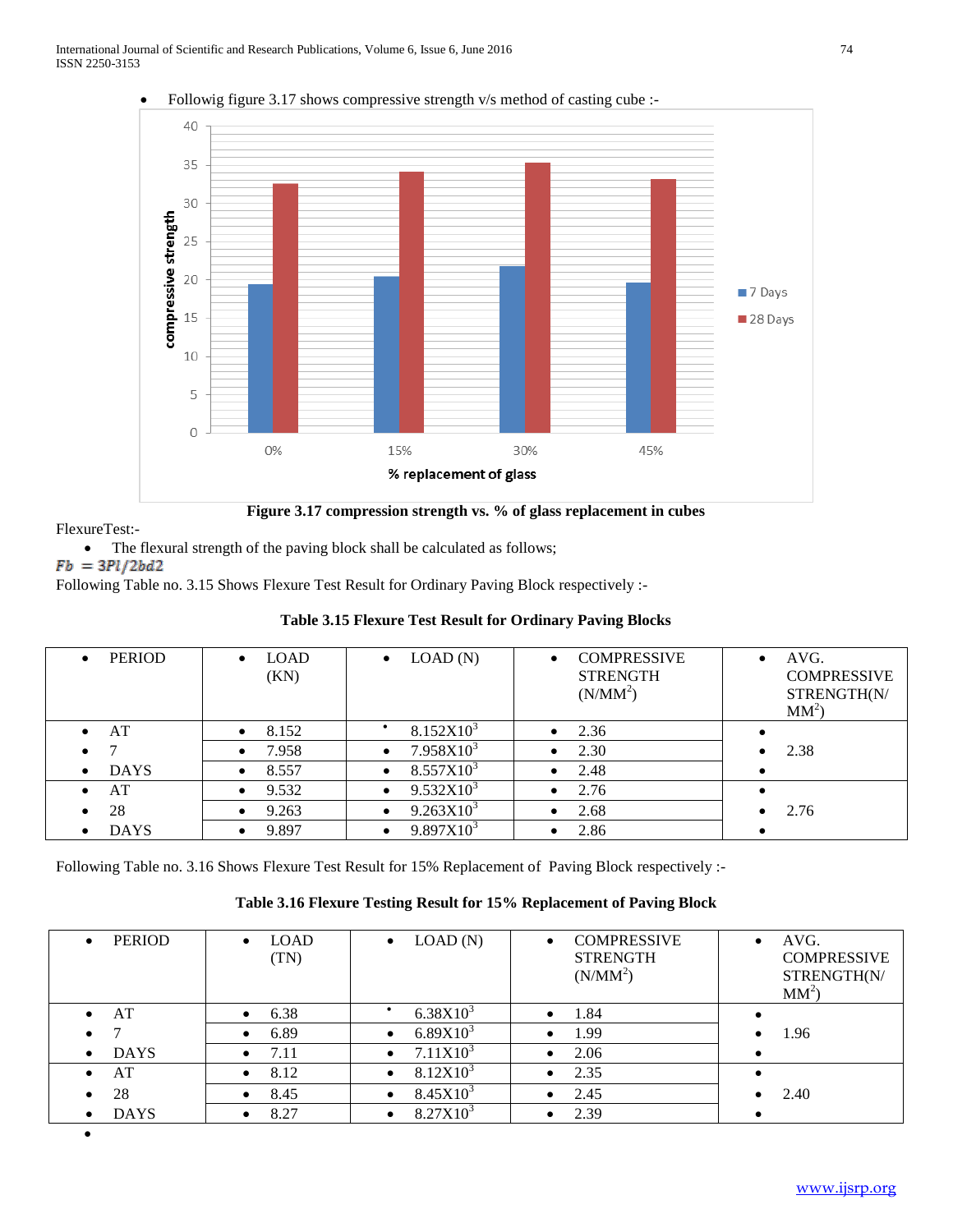

Followig figure 3.17 shows compressive strength v/s method of casting cube :-

FlexureTest:-

• The flexural strength of the paving block shall be calculated as follows;

 $Fb = 3Pl/2bd2$ 

Following Table no. 3.15 Shows Flexure Test Result for Ordinary Paving Block respectively :-

| <b>PERIOD</b><br>$\bullet$ | <b>LOAD</b><br>$\bullet$<br>(KN) | LOAD(N)<br>$\bullet$               | <b>COMPRESSIVE</b><br><b>STRENGTH</b><br>(N/MM <sup>2</sup> ) | AVG.<br>$\bullet$<br><b>COMPRESSIVE</b><br>STRENGTH(N/<br>$MM^2$ |
|----------------------------|----------------------------------|------------------------------------|---------------------------------------------------------------|------------------------------------------------------------------|
| AT<br>$\bullet$            | 8.152<br>$\bullet$               | 8.152X10 <sup>3</sup>              | 2.36                                                          |                                                                  |
| $\bullet$                  | 7.958<br>$\bullet$               | 7.958X10 <sup>3</sup><br>$\bullet$ | 2.30                                                          | 2.38                                                             |
| <b>DAYS</b><br>$\bullet$   | 8.557<br>$\bullet$               | $8.557X10^{3}$<br>$\bullet$        | 2.48                                                          |                                                                  |
| AT                         | 9.532<br>$\bullet$               | 9.532X10 <sup>3</sup><br>$\bullet$ | 2.76                                                          |                                                                  |
| 28                         | 9.263<br>$\bullet$               | $9.263X10^{3}$<br>$\bullet$        | 2.68<br>$\bullet$                                             | 2.76                                                             |
| <b>DAYS</b>                | 9.897<br>$\bullet$               | $9.897X10^{3}$<br>$\bullet$        | 2.86                                                          |                                                                  |

# **Table 3.15 Flexure Test Result for Ordinary Paving Blocks**

Following Table no. 3.16 Shows Flexure Test Result for 15% Replacement of Paving Block respectively :-

# **Table 3.16 Flexure Testing Result for 15% Replacement of Paving Block**

| <b>PERIOD</b><br>$\bullet$ | <b>LOAD</b><br>$\bullet$<br>(TN) | LOAD(N)<br>$\bullet$       | <b>COMPRESSIVE</b><br>$\bullet$<br><b>STRENGTH</b><br>(N/MM <sup>2</sup> ) | AVG.<br><b>COMPRESSIVE</b><br>STRENGTH(N/<br>$MM^2$ |
|----------------------------|----------------------------------|----------------------------|----------------------------------------------------------------------------|-----------------------------------------------------|
| AT<br>$\bullet$            | 6.38<br>$\bullet$                | $6.38X10^{3}$              | 1.84<br>$\bullet$                                                          |                                                     |
| $\bullet$                  | 6.89<br>$\bullet$                | $6.89X10^{3}$<br>$\bullet$ | 1.99<br>$\bullet$                                                          | 1.96                                                |
| <b>DAYS</b><br>$\bullet$   | 7.11<br>$\bullet$                | 7.11X10 <sup>3</sup>       | 2.06                                                                       |                                                     |
| AT<br>$\bullet$            | 8.12<br>$\bullet$                | $8.12X10^{3}$<br>$\bullet$ | 2.35                                                                       |                                                     |
| 28<br>$\bullet$            | 8.45                             | $8.45X10^{3}$              | 2.45                                                                       | 2.40                                                |
| <b>DAYS</b><br>$\bullet$   | 8.27                             | $8.27X10^{3}$              | 2.39                                                                       |                                                     |
|                            |                                  |                            |                                                                            |                                                     |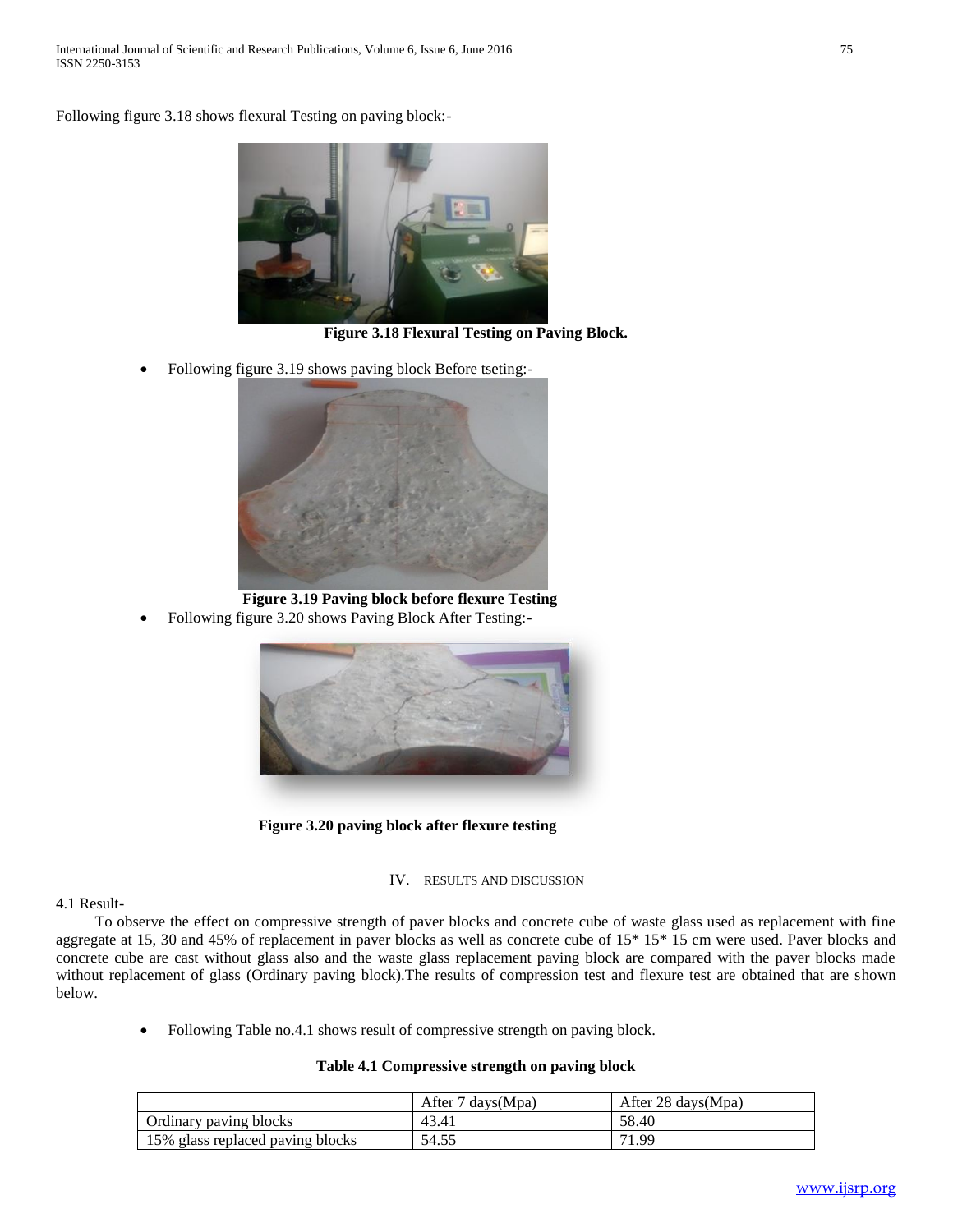Following figure 3.18 shows flexural Testing on paving block:-



**Figure 3.18 Flexural Testing on Paving Block.**

Following figure 3.19 shows paving block Before tseting:-



 **Figure 3.19 Paving block before flexure Testing**

Following figure 3.20 shows Paving Block After Testing:-



 **Figure 3.20 paving block after flexure testing**

### IV. RESULTS AND DISCUSSION

4.1 Result-

 To observe the effect on compressive strength of paver blocks and concrete cube of waste glass used as replacement with fine aggregate at 15, 30 and 45% of replacement in paver blocks as well as concrete cube of 15\* 15\* 15 cm were used. Paver blocks and concrete cube are cast without glass also and the waste glass replacement paving block are compared with the paver blocks made without replacement of glass (Ordinary paving block).The results of compression test and flexure test are obtained that are shown below.

Following Table no.4.1 shows result of compressive strength on paving block.

# **Table 4.1 Compressive strength on paving block**

|                                  | After 7 days (Mpa) | After 28 days $(Mpa)$ |
|----------------------------------|--------------------|-----------------------|
| Ordinary paving blocks           | 43.41              | 58.40                 |
| 15% glass replaced paving blocks | 54.55              | 71.99                 |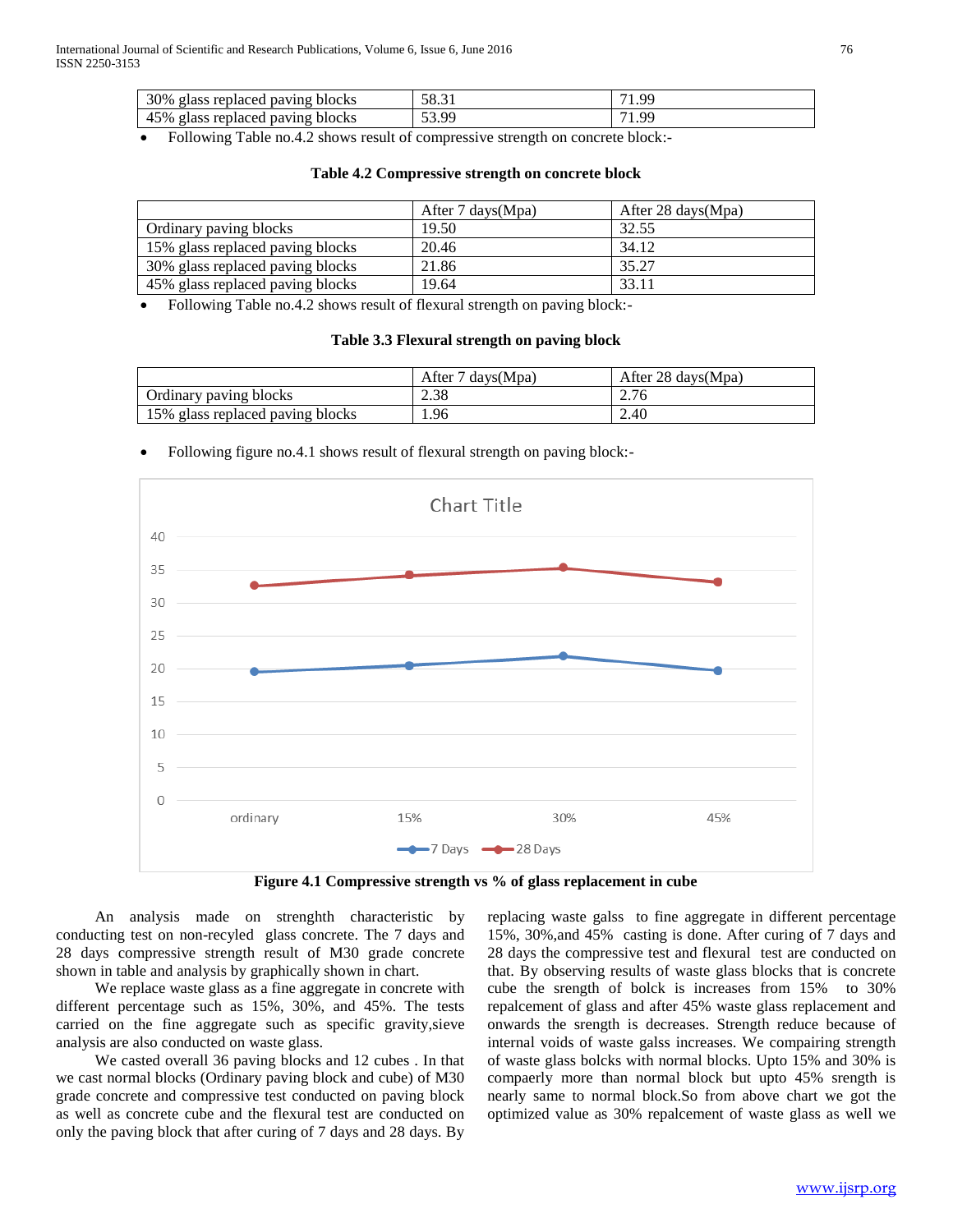| 30%<br>elass replaced paving blocks   | 58.31                              | <b>OC</b> |
|---------------------------------------|------------------------------------|-----------|
| 45%<br>. glass replaced paving blocks | -QC<br>$\epsilon$<br>JJ. <i>J.</i> | $\alpha$  |

Following Table no.4.2 shows result of compressive strength on concrete block:-

|                                  | After $7 \text{ days}(\text{Mpa})$ | After 28 days $(Mpa)$ |
|----------------------------------|------------------------------------|-----------------------|
| Ordinary paving blocks           | 19.50                              | 32.55                 |
| 15% glass replaced paving blocks | 20.46                              | 34.12                 |
| 30% glass replaced paving blocks | 21.86                              | 35.27                 |
| 45% glass replaced paving blocks | 19.64                              | 33.11                 |

#### **Table 4.2 Compressive strength on concrete block**

Following Table no.4.2 shows result of flexural strength on paving block:-

#### **Table 3.3 Flexural strength on paving block**

|                                  | After 7 days (Mpa) | After 28 days (Mpa) |
|----------------------------------|--------------------|---------------------|
| Ordinary paving blocks           | 2.38               |                     |
| 15% glass replaced paving blocks | . 96               | 2.40                |

### Following figure no.4.1 shows result of flexural strength on paving block:-



**Figure 4.1 Compressive strength vs % of glass replacement in cube**

 An analysis made on strenghth characteristic by conducting test on non-recyled glass concrete. The 7 days and 28 days compressive strength result of M30 grade concrete shown in table and analysis by graphically shown in chart.

 We replace waste glass as a fine aggregate in concrete with different percentage such as 15%, 30%, and 45%. The tests carried on the fine aggregate such as specific gravity,sieve analysis are also conducted on waste glass.

 We casted overall 36 paving blocks and 12 cubes . In that we cast normal blocks (Ordinary paving block and cube) of M30 grade concrete and compressive test conducted on paving block as well as concrete cube and the flexural test are conducted on only the paving block that after curing of 7 days and 28 days. By

replacing waste galss to fine aggregate in different percentage 15%, 30%,and 45% casting is done. After curing of 7 days and 28 days the compressive test and flexural test are conducted on that. By observing results of waste glass blocks that is concrete cube the srength of bolck is increases from 15% to 30% repalcement of glass and after 45% waste glass replacement and onwards the srength is decreases. Strength reduce because of internal voids of waste galss increases. We compairing strength of waste glass bolcks with normal blocks. Upto 15% and 30% is compaerly more than normal block but upto 45% srength is nearly same to normal block.So from above chart we got the optimized value as 30% repalcement of waste glass as well we